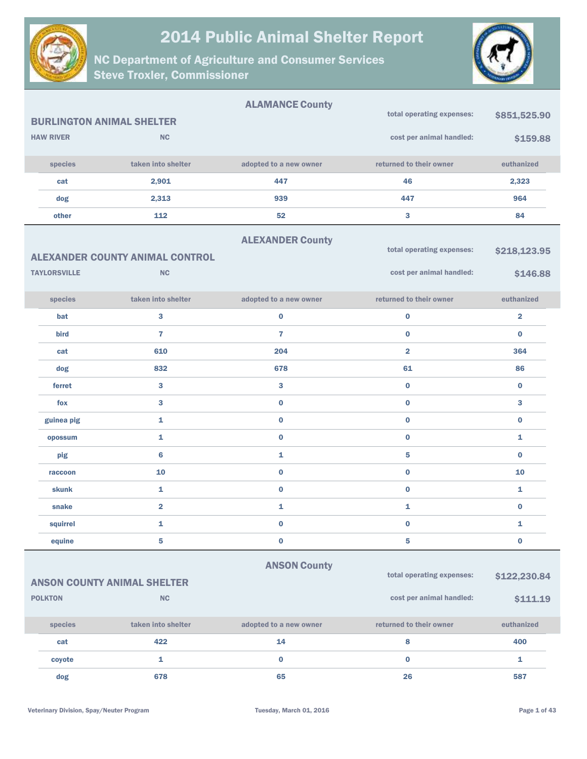



|                                  |                                        | <b>ALAMANCE County</b>  |                           |                |
|----------------------------------|----------------------------------------|-------------------------|---------------------------|----------------|
| <b>BURLINGTON ANIMAL SHELTER</b> |                                        |                         | total operating expenses: | \$851,525.90   |
| <b>HAW RIVER</b>                 | <b>NC</b>                              |                         | cost per animal handled:  | \$159.88       |
| species                          | taken into shelter                     | adopted to a new owner  | returned to their owner   | euthanized     |
| cat                              | 2,901                                  | 447                     | 46                        | 2,323          |
| dog                              | 2,313                                  | 939                     | 447                       | 964            |
| other                            | 112                                    | 52                      | 3                         | 84             |
|                                  |                                        | <b>ALEXANDER County</b> |                           |                |
|                                  | <b>ALEXANDER COUNTY ANIMAL CONTROL</b> |                         | total operating expenses: | \$218,123.95   |
| <b>TAYLORSVILLE</b>              | NC                                     |                         | cost per animal handled:  | \$146.88       |
| species                          | taken into shelter                     | adopted to a new owner  | returned to their owner   | euthanized     |
| bat                              | 3                                      | $\bf{0}$                | $\bf{0}$                  | $\overline{2}$ |
| bird                             | $\overline{7}$                         | $\overline{7}$          | $\bf{0}$                  | $\bf{0}$       |
| cat                              | 610                                    | 204                     | $\overline{2}$            | 364            |
| dog                              | 832                                    | 678                     | 61                        | 86             |
| ferret                           | 3                                      | 3                       | $\bf{0}$                  | $\bf{0}$       |
| fox                              | 3                                      | $\bf{0}$                | $\bf{0}$                  | 3              |
| guinea pig                       | 1                                      | $\bf{0}$                | $\bf{0}$                  | $\bf{0}$       |
| opossum                          | 1                                      | $\bf{0}$                | $\bf{0}$                  | $\mathbf{1}$   |
| pig                              | $6\phantom{1}6$                        | 1                       | 5                         | $\bf{0}$       |
| raccoon                          | 10                                     | $\bf{0}$                | $\bf{0}$                  | 10             |
| skunk                            | 1                                      | $\pmb{0}$               | $\bf{0}$                  | $\mathbf{1}$   |
| snake                            | $\overline{\mathbf{2}}$                | 1                       | 1                         | $\bf{0}$       |
| squirrel                         | 1                                      | $\bf{0}$                | $\bf{0}$                  | 1              |
| equine                           | 5                                      | $\pmb{0}$               | 5                         | $\pmb{0}$      |
|                                  |                                        | <b>ANSON County</b>     |                           |                |
|                                  | <b>ANSON COUNTY ANIMAL SHELTER</b>     |                         | total operating expenses: | \$122,230.84   |
| <b>POLKTON</b>                   | NC                                     |                         | cost per animal handled:  | \$111.19       |
| species                          | taken into shelter                     | adopted to a new owner  | returned to their owner   | euthanized     |
| cat                              | 422                                    | 14                      | 8                         | 400            |
| coyote                           | $\mathbf{1}$                           | $\pmb{0}$               | $\bf{0}$                  | $\mathbf{1}$   |
| dog                              | 678                                    | 65                      | 26                        | 587            |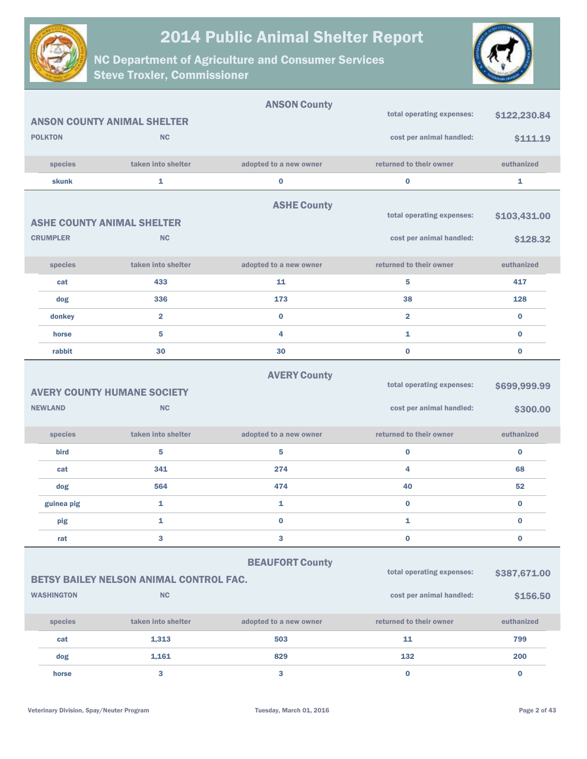



|                         |                 |                                                | <b>ANSON County</b>    | total operating expenses: | \$122,230.84 |
|-------------------------|-----------------|------------------------------------------------|------------------------|---------------------------|--------------|
|                         |                 | <b>ANSON COUNTY ANIMAL SHELTER</b>             |                        |                           |              |
|                         | <b>POLKTON</b>  | <b>NC</b>                                      |                        | cost per animal handled:  | \$111.19     |
|                         | species         | taken into shelter                             | adopted to a new owner | returned to their owner   | euthanized   |
|                         | <b>skunk</b>    | $\mathbf{1}$                                   | $\bf{0}$               | $\bf{0}$                  | $\mathbf{1}$ |
|                         |                 |                                                | <b>ASHE County</b>     |                           |              |
|                         |                 | <b>ASHE COUNTY ANIMAL SHELTER</b>              |                        | total operating expenses: | \$103,431.00 |
|                         | <b>CRUMPLER</b> | <b>NC</b>                                      |                        | cost per animal handled:  | \$128.32     |
|                         |                 |                                                |                        |                           |              |
|                         | species         | taken into shelter                             | adopted to a new owner | returned to their owner   | euthanized   |
|                         | cat             | 433                                            | 11                     | 5                         | 417          |
|                         | dog             | 336                                            | 173                    | 38                        | 128          |
|                         | donkey          | $\overline{2}$                                 | $\bf{0}$               | $\overline{2}$            | $\bf{0}$     |
|                         | horse           | 5                                              | 4                      | 1                         | $\bf{0}$     |
|                         | rabbit          | 30                                             | 30                     | $\bf{0}$                  | $\bf{0}$     |
|                         |                 |                                                | <b>AVERY County</b>    |                           |              |
|                         |                 | <b>AVERY COUNTY HUMANE SOCIETY</b>             |                        | total operating expenses: | \$699,999.99 |
|                         | <b>NEWLAND</b>  | <b>NC</b>                                      |                        | cost per animal handled:  | \$300.00     |
|                         |                 |                                                |                        |                           |              |
|                         | species         | taken into shelter                             | adopted to a new owner | returned to their owner   | euthanized   |
|                         | bird            | 5                                              | 5                      | $\bf{0}$                  | $\bf{0}$     |
|                         | cat             | 341                                            | 274                    | 4                         | 68           |
|                         | dog             | 564                                            | 474                    | 40                        | 52           |
|                         | guinea pig      | 1                                              | 1                      | $\bf{0}$                  | $\bf{0}$     |
|                         | pig             | 1                                              | $\bf{0}$               | 1                         | $\bf{0}$     |
|                         | rat             | 3                                              | 3                      | $\bf{0}$                  | $\bf{0}$     |
|                         |                 |                                                | <b>BEAUFORT County</b> |                           |              |
|                         |                 | <b>BETSY BAILEY NELSON ANIMAL CONTROL FAC.</b> |                        | total operating expenses: | \$387,671.00 |
| NC<br><b>WASHINGTON</b> |                 |                                                |                        | cost per animal handled:  | \$156.50     |
|                         |                 |                                                |                        |                           |              |
|                         | species         | taken into shelter                             | adopted to a new owner | returned to their owner   | euthanized   |
|                         | cat             | 1,313                                          | 503                    | 11                        | 799          |
|                         | dog             | 1,161                                          | 829                    | 132                       | 200          |
|                         | horse           | 3                                              | 3                      | $\bf{0}$                  | $\bf{0}$     |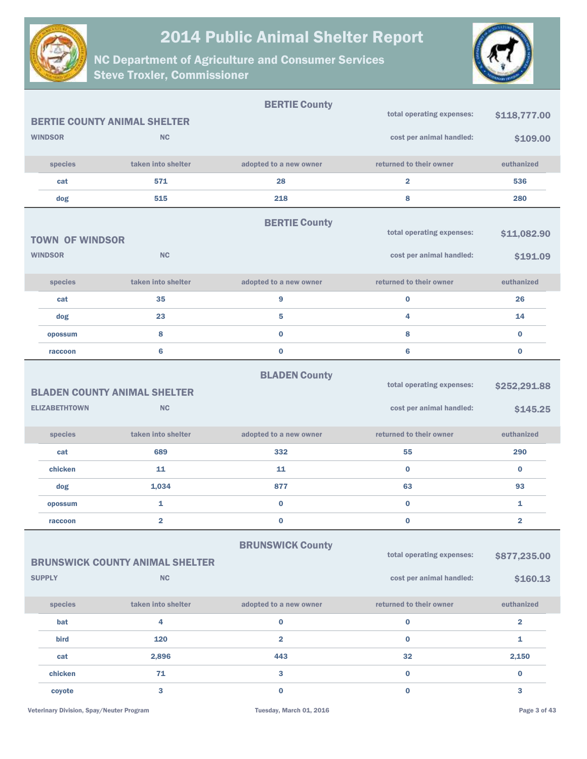



|                        |                                        | <b>BERTIE County</b>    |                           |                         |
|------------------------|----------------------------------------|-------------------------|---------------------------|-------------------------|
|                        | <b>BERTIE COUNTY ANIMAL SHELTER</b>    |                         | total operating expenses: | \$118,777.00            |
| <b>WINDSOR</b>         | <b>NC</b>                              |                         | cost per animal handled:  | \$109.00                |
| species                | taken into shelter                     | adopted to a new owner  | returned to their owner   | euthanized              |
| cat                    | 571                                    | 28                      | $\overline{\mathbf{2}}$   | 536                     |
| dog                    | 515                                    | 218                     | 8                         | 280                     |
|                        |                                        | <b>BERTIE County</b>    |                           |                         |
| <b>TOWN OF WINDSOR</b> |                                        |                         | total operating expenses: | \$11,082.90             |
| <b>WINDSOR</b>         | <b>NC</b>                              |                         | cost per animal handled:  | \$191.09                |
| species                | taken into shelter                     | adopted to a new owner  | returned to their owner   | euthanized              |
| cat                    | 35                                     | 9                       | $\bf{0}$                  | 26                      |
| dog                    | 23                                     | 5                       | 4                         | 14                      |
| opossum                | 8                                      | $\bf{0}$                | 8                         | $\bf{0}$                |
| raccoon                | 6                                      | $\bf{0}$                | 6                         | $\bf{0}$                |
|                        |                                        | <b>BLADEN County</b>    | total operating expenses: | \$252,291.88            |
|                        | <b>BLADEN COUNTY ANIMAL SHELTER</b>    |                         |                           |                         |
| <b>ELIZABETHTOWN</b>   | <b>NC</b>                              |                         | cost per animal handled:  | \$145.25                |
| species                | taken into shelter                     | adopted to a new owner  | returned to their owner   | euthanized              |
| cat                    | 689                                    | 332                     | 55                        | 290                     |
| chicken                | 11                                     | 11                      | $\bf{0}$                  | $\bf{0}$                |
| dog                    | 1,034                                  | 877                     | 63                        | 93                      |
| opossum                | 1                                      | $\bf{0}$                | $\bf{0}$                  | 1                       |
| raccoon                | $\overline{\mathbf{2}}$                | $\bf{0}$                | $\pmb{0}$                 | $\overline{\mathbf{2}}$ |
|                        |                                        | <b>BRUNSWICK County</b> |                           |                         |
|                        | <b>BRUNSWICK COUNTY ANIMAL SHELTER</b> |                         | total operating expenses: | \$877,235.00            |
| <b>SUPPLY</b>          | <b>NC</b>                              |                         | cost per animal handled:  | \$160.13                |
| species                | taken into shelter                     | adopted to a new owner  | returned to their owner   | euthanized              |
| bat                    | 4                                      | $\bf{0}$                | $\bf{0}$                  | $\overline{2}$          |
| bird                   | 120                                    | $\overline{2}$          | $\bf{0}$                  | 1                       |
| cat                    | 2,896                                  | 443                     | 32                        | 2,150                   |
| chicken                | 71                                     | 3                       | $\bf{0}$                  | $\bf{0}$                |
| coyote                 | $\mathbf{3}$                           | $\mathbf 0$             | $\bf{0}$                  | 3                       |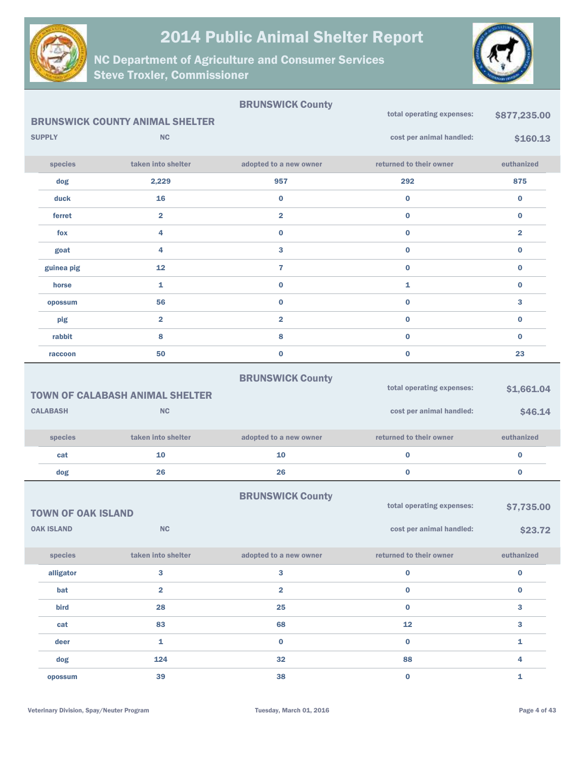



|                              |                           |                                        | <b>BRUNSWICK County</b> | total operating expenses: | \$877,235.00 |
|------------------------------|---------------------------|----------------------------------------|-------------------------|---------------------------|--------------|
|                              |                           | <b>BRUNSWICK COUNTY ANIMAL SHELTER</b> |                         |                           |              |
|                              | <b>SUPPLY</b>             | <b>NC</b>                              |                         | cost per animal handled:  | \$160.13     |
|                              | species                   | taken into shelter                     | adopted to a new owner  | returned to their owner   | euthanized   |
|                              | dog                       | 2,229                                  | 957                     | 292                       | 875          |
|                              | duck                      | 16                                     | $\pmb{0}$               | $\bf{0}$                  | 0            |
|                              | ferret                    | $\overline{\mathbf{2}}$                | $\overline{\mathbf{2}}$ | $\bf{0}$                  | 0            |
|                              | fox                       | 4                                      | $\pmb{0}$               | $\pmb{0}$                 | 2            |
|                              | goat                      | 4                                      | 3                       | $\bf{0}$                  | 0            |
|                              | guinea pig                | 12                                     | $\mathbf{7}$            | $\bf{0}$                  | 0            |
|                              | horse                     | 1                                      | $\pmb{0}$               | 1                         | 0            |
|                              | opossum                   | 56                                     | $\bf{0}$                | $\bf{0}$                  | 3            |
|                              | pig                       | $\overline{\mathbf{2}}$                | $\overline{\mathbf{2}}$ | $\bf{0}$                  | 0            |
|                              | rabbit                    | 8                                      | 8                       | $\bf{0}$                  | 0            |
|                              | raccoon                   | 50                                     | $\bf{0}$                | $\bf{0}$                  | 23           |
|                              |                           |                                        | <b>BRUNSWICK County</b> |                           |              |
|                              |                           | <b>TOWN OF CALABASH ANIMAL SHELTER</b> |                         | total operating expenses: | \$1,661.04   |
| <b>CALABASH</b><br><b>NC</b> |                           |                                        |                         | cost per animal handled:  | \$46.14      |
|                              |                           |                                        |                         |                           |              |
|                              | species                   | taken into shelter                     | adopted to a new owner  | returned to their owner   | euthanized   |
|                              | cat                       | 10                                     | 10                      | $\bf{0}$                  | 0            |
|                              | dog                       | 26                                     | 26                      | $\bf{0}$                  | $\bf{0}$     |
|                              |                           |                                        | <b>BRUNSWICK County</b> |                           |              |
|                              | <b>TOWN OF OAK ISLAND</b> |                                        |                         | total operating expenses: | \$7,735.00   |
|                              | <b>OAK ISLAND</b>         | $\sf NC$                               |                         | cost per animal handled:  | \$23.72      |
|                              | species                   | taken into shelter                     | adopted to a new owner  | returned to their owner   | euthanized   |
|                              | alligator                 | 3                                      | $\mathbf{3}$            | $\pmb{0}$                 | 0            |
|                              | bat                       | $\overline{\mathbf{2}}$                | $\overline{\mathbf{2}}$ | $\pmb{0}$                 | 0            |
|                              | bird                      | 28                                     | 25                      | $\pmb{0}$                 | $\mathbf{3}$ |
|                              | cat                       | 83                                     | 68                      | 12                        | 3            |
|                              | deer                      | $\mathbf{1}$                           | $\mathbf 0$             | $\bf{0}$                  | $\mathbf{1}$ |
|                              | dog                       | 124                                    | 32                      | 88                        | 4            |
|                              | opossum                   | 39                                     | 38                      | $\mathbf 0$               | $\mathbf{1}$ |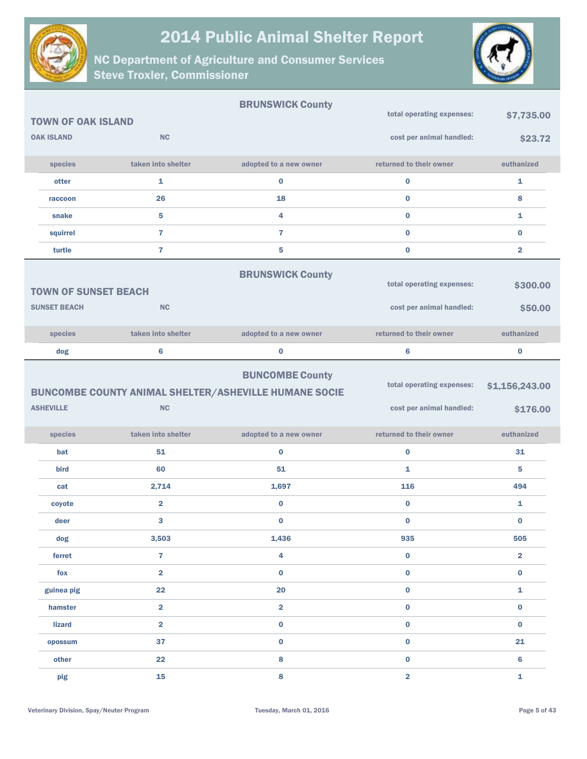



|                             |                         | <b>BRUNSWICK County</b>                                                                |                                                       |                            |
|-----------------------------|-------------------------|----------------------------------------------------------------------------------------|-------------------------------------------------------|----------------------------|
| <b>TOWN OF OAK ISLAND</b>   |                         |                                                                                        | total operating expenses:                             | \$7,735.00                 |
| <b>OAK ISLAND</b>           | <b>NC</b>               |                                                                                        | cost per animal handled:                              | \$23.72                    |
| species                     | taken into shelter      | adopted to a new owner                                                                 | returned to their owner                               | euthanized                 |
| otter                       | $\mathbf{1}$            | $\bf{0}$                                                                               | $\bf{0}$                                              | 1                          |
| raccoon                     | 26                      | 18                                                                                     | $\mathbf 0$                                           | 8                          |
| snake                       | 5                       | 4                                                                                      | $\bf{0}$                                              | 1                          |
| squirrel                    | $\overline{7}$          | $\overline{7}$                                                                         | $\bf{0}$                                              | $\bf{0}$                   |
| turtle                      | $\overline{7}$          | 5                                                                                      | $\bf{0}$                                              | $\overline{\mathbf{2}}$    |
| <b>TOWN OF SUNSET BEACH</b> |                         | <b>BRUNSWICK County</b>                                                                | total operating expenses:                             | \$300.00                   |
| <b>SUNSET BEACH</b>         | <b>NC</b>               |                                                                                        | cost per animal handled:                              | \$50.00                    |
| species                     | taken into shelter      | adopted to a new owner                                                                 | returned to their owner                               | euthanized                 |
| dog                         | $6\phantom{1}6$         | 0                                                                                      | 6                                                     | $\bf{0}$                   |
| <b>ASHEVILLE</b>            | <b>NC</b>               | <b>BUNCOMBE County</b><br><b>BUNCOMBE COUNTY ANIMAL SHELTER/ASHEVILLE HUMANE SOCIE</b> | total operating expenses:<br>cost per animal handled: | \$1,156,243.00<br>\$176.00 |
| species                     | taken into shelter      | adopted to a new owner                                                                 | returned to their owner                               | euthanized                 |
| bat                         | 51                      | $\bf{0}$                                                                               | $\bf{0}$                                              | 31                         |
| bird                        | 60                      | 51                                                                                     | $\mathbf{1}$                                          | 5                          |
| cat                         | 2,714                   | 1,697                                                                                  | 116                                                   | 494                        |
| coyote                      | $\overline{\mathbf{2}}$ | $\bf{0}$                                                                               | $\bf{0}$                                              | 1                          |
| deer                        | 3                       | $\bf{0}$                                                                               | $\bf{0}$                                              | $\bf{0}$                   |
| dog                         | 3,503                   | 1,436                                                                                  | 935                                                   | 505                        |
| ferret                      | $\overline{7}$          | 4                                                                                      | $\mathbf 0$                                           | $\overline{2}$             |
| fox                         | $\overline{2}$          | $\bf{0}$                                                                               | $\mathbf 0$                                           | $\bf{0}$                   |
| guinea pig                  | 22                      | 20                                                                                     | $\mathbf 0$                                           | $\mathbf{1}$               |
| hamster                     | $\overline{2}$          | $\overline{\mathbf{2}}$                                                                | $\bf{0}$                                              | $\bf{0}$                   |
| lizard                      | $\overline{2}$          | $\pmb{0}$                                                                              | $\mathbf 0$                                           | $\bf{0}$                   |
| opossum                     | 37                      | $\bf{0}$                                                                               | $\bf{0}$                                              | 21                         |
| other                       | 22                      | 8                                                                                      | $\bf{0}$                                              | 6                          |
| pig                         | 15                      | 8                                                                                      | $\overline{\mathbf{2}}$                               | 1                          |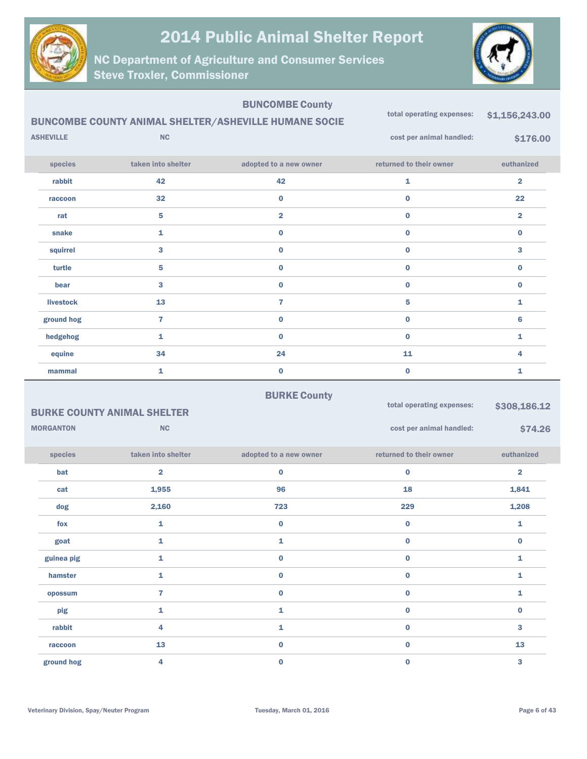

NC Department of Agriculture and Consumer Services Steve Troxler, Commissioner



|                  |                                    | <b>BUNCOMBE County</b>                                       |                           |                         |
|------------------|------------------------------------|--------------------------------------------------------------|---------------------------|-------------------------|
|                  |                                    | <b>BUNCOMBE COUNTY ANIMAL SHELTER/ASHEVILLE HUMANE SOCIE</b> | total operating expenses: | \$1,156,243.00          |
| <b>ASHEVILLE</b> | <b>NC</b>                          |                                                              | cost per animal handled:  | \$176.00                |
| species          | taken into shelter                 | adopted to a new owner                                       | returned to their owner   | euthanized              |
| rabbit           | 42                                 | 42                                                           | $\mathbf{1}$              | $\overline{\mathbf{2}}$ |
| raccoon          | 32                                 | $\bf{0}$                                                     | $\bf{0}$                  | 22                      |
| rat              | 5                                  | $\overline{\mathbf{2}}$                                      | $\mathbf 0$               | $\overline{\mathbf{2}}$ |
| snake            | 1                                  | $\bf{0}$                                                     | $\bf{0}$                  | $\bf{0}$                |
| squirrel         | 3                                  | $\bf{0}$                                                     | $\bf{0}$                  | 3                       |
| turtle           | 5                                  | $\bf{0}$                                                     | $\bf{0}$                  | $\bf{0}$                |
| bear             | 3                                  | $\bf{0}$                                                     | $\bf{0}$                  | $\bf{0}$                |
| <b>livestock</b> | 13                                 | $\overline{7}$                                               | 5                         | 1                       |
| ground hog       | $\overline{7}$                     | $\bf{0}$                                                     | $\bf{0}$                  | 6                       |
| hedgehog         | 1                                  | $\bf{0}$                                                     | $\bf{0}$                  | 1                       |
| equine           | 34                                 | 24                                                           | 11                        | 4                       |
| mammal           | $\mathbf{1}$                       | $\bf{0}$                                                     | $\bf{0}$                  | 1                       |
|                  |                                    | <b>BURKE County</b>                                          |                           |                         |
|                  | <b>BURKE COUNTY ANIMAL SHELTER</b> |                                                              | total operating expenses: | \$308,186.12            |
| <b>MORGANTON</b> | NC                                 |                                                              | cost per animal handled:  | \$74.26                 |
| species          | taken into shelter                 | adopted to a new owner                                       | returned to their owner   | euthanized              |
| bat              | $\overline{\mathbf{2}}$            | $\bf{0}$                                                     | $\bf{0}$                  | $\overline{\mathbf{2}}$ |
| cat              | 1,955                              | 96                                                           | 18                        | 1,841                   |
| dog              | 2,160                              | 723                                                          | 229                       | 1,208                   |
| fox              | 1                                  | $\bf{0}$                                                     | $\bf{0}$                  | 1                       |
| goat             | 1                                  | 1                                                            | $\bf{0}$                  | $\bf{0}$                |

guinea pig  $\begin{array}{cccccccccccccc} & & & & 1 & & & & 0 & & & & 0 & & & & 0 \end{array}$ hamster and  $\begin{array}{ccc} 1 & 0 & 0 & 0 \end{array}$ opossum  $\qquad \qquad \qquad \, 7$  0 0 0 0 0 1  $\frac{1}{1}$  and  $\frac{1}{1}$  and  $\frac{1}{1}$  and  $\frac{1}{1}$  and  $\frac{1}{1}$  and  $\frac{1}{1}$  and  $\frac{1}{1}$  and  $\frac{1}{1}$  and  $\frac{1}{1}$  and  $\frac{1}{1}$  and  $\frac{1}{1}$  and  $\frac{1}{1}$  and  $\frac{1}{1}$  and  $\frac{1}{1}$  and  $\frac{1}{1}$  and  $\frac{1}{1}$  a rabbit 4 1 0 3 raccoon and  $\begin{array}{ccc} 13 & 0 & 0 & 0 \end{array}$  and  $\begin{array}{ccc} 13 & 13 & 13 \end{array}$ ground hog  $\begin{array}{ccc} 4 & 0 & 0 \\ 0 & 0 & 0 \end{array}$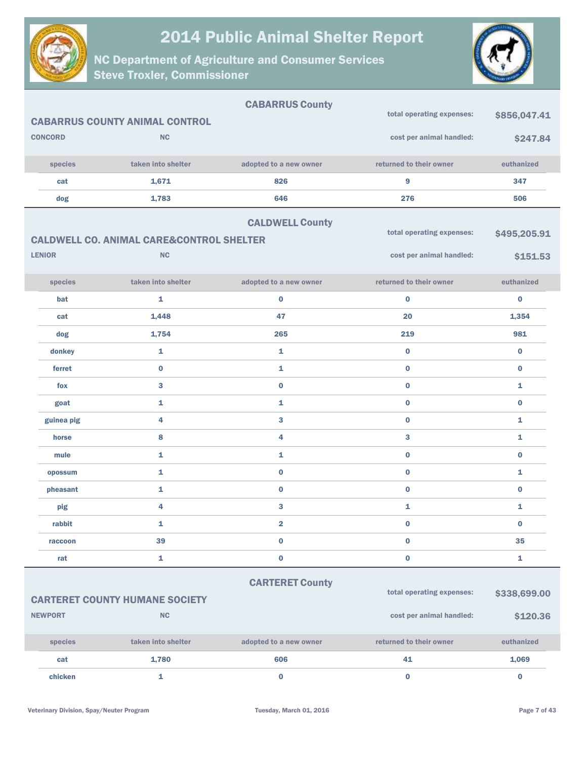



| <b>CONCORD</b><br>species<br>cat<br>dog                                                                                                                                                 | <b>CABARRUS COUNTY ANIMAL CONTROL</b><br><b>NC</b><br>taken into shelter<br>1,671<br>1,783<br><b>CALDWELL CO. ANIMAL CARE&amp;CONTROL SHELTER</b> | <b>CABARRUS County</b><br>adopted to a new owner<br>826<br>646<br><b>CALDWELL County</b> | total operating expenses:<br>cost per animal handled:<br>returned to their owner<br>9<br>276<br>total operating expenses: | \$856,047.41<br>\$247.84<br>euthanized<br>347<br>506<br>\$495,205.91 |
|-----------------------------------------------------------------------------------------------------------------------------------------------------------------------------------------|---------------------------------------------------------------------------------------------------------------------------------------------------|------------------------------------------------------------------------------------------|---------------------------------------------------------------------------------------------------------------------------|----------------------------------------------------------------------|
| <b>LENIOR</b>                                                                                                                                                                           | <b>NC</b>                                                                                                                                         |                                                                                          | cost per animal handled:                                                                                                  | \$151.53                                                             |
| species                                                                                                                                                                                 | taken into shelter                                                                                                                                | adopted to a new owner                                                                   | returned to their owner                                                                                                   | euthanized                                                           |
| bat                                                                                                                                                                                     | 1                                                                                                                                                 | $\bf{0}$                                                                                 | $\bf{0}$                                                                                                                  | $\bf{0}$                                                             |
| cat                                                                                                                                                                                     | 1,448                                                                                                                                             | 47                                                                                       | 20                                                                                                                        | 1,354                                                                |
| dog                                                                                                                                                                                     | 1,754                                                                                                                                             | 265                                                                                      | 219                                                                                                                       | 981                                                                  |
| donkey                                                                                                                                                                                  | 1                                                                                                                                                 | $\mathbf{1}$                                                                             | $\bf{0}$                                                                                                                  | $\mathbf 0$                                                          |
| ferret                                                                                                                                                                                  | $\bf{0}$                                                                                                                                          | 1                                                                                        | $\bf{0}$                                                                                                                  | $\bf{0}$                                                             |
| fox                                                                                                                                                                                     | 3                                                                                                                                                 | $\mathbf 0$                                                                              | $\bf{0}$                                                                                                                  | $\mathbf{1}$                                                         |
| goat                                                                                                                                                                                    | 1                                                                                                                                                 | 1                                                                                        | $\bf{0}$                                                                                                                  | $\bf{0}$                                                             |
| guinea pig                                                                                                                                                                              | 4                                                                                                                                                 | 3                                                                                        | $\bf{0}$                                                                                                                  | 1                                                                    |
| horse                                                                                                                                                                                   | 8                                                                                                                                                 | 4                                                                                        | 3                                                                                                                         | 1                                                                    |
| mule                                                                                                                                                                                    | 1                                                                                                                                                 | $\mathbf{1}$                                                                             | $\bf{0}$                                                                                                                  | $\bf{0}$                                                             |
| opossum                                                                                                                                                                                 | 1                                                                                                                                                 | $\bf{0}$                                                                                 | $\bf{0}$                                                                                                                  | 1                                                                    |
| pheasant                                                                                                                                                                                | 1                                                                                                                                                 | $\bf{0}$                                                                                 | $\bf{0}$                                                                                                                  | $\bf{0}$                                                             |
| pig                                                                                                                                                                                     | 4                                                                                                                                                 | 3                                                                                        | 1                                                                                                                         | 1                                                                    |
| rabbit                                                                                                                                                                                  | 1                                                                                                                                                 | $\overline{2}$                                                                           | $\bf{0}$                                                                                                                  | $\bf{0}$                                                             |
| raccoon                                                                                                                                                                                 | 39                                                                                                                                                | $\pmb{0}$                                                                                | $\mathbf 0$                                                                                                               | 35                                                                   |
| rat                                                                                                                                                                                     | 1                                                                                                                                                 | $\pmb{0}$                                                                                | $\pmb{0}$                                                                                                                 | $\mathbf 1$                                                          |
| <b>CARTERET County</b><br>total operating expenses:<br>\$338,699.00<br><b>CARTERET COUNTY HUMANE SOCIETY</b><br><b>NEWPORT</b><br>$\mathsf{NC}$<br>cost per animal handled:<br>\$120.36 |                                                                                                                                                   |                                                                                          |                                                                                                                           |                                                                      |
| species                                                                                                                                                                                 | taken into shelter                                                                                                                                | adopted to a new owner                                                                   | returned to their owner                                                                                                   | euthanized                                                           |
| cat                                                                                                                                                                                     | 1,780                                                                                                                                             | 606                                                                                      | 41                                                                                                                        | 1,069                                                                |
| chicken                                                                                                                                                                                 | $\mathbf{1}$                                                                                                                                      | $\bf{0}$                                                                                 | $\mathbf 0$                                                                                                               | $\mathbf 0$                                                          |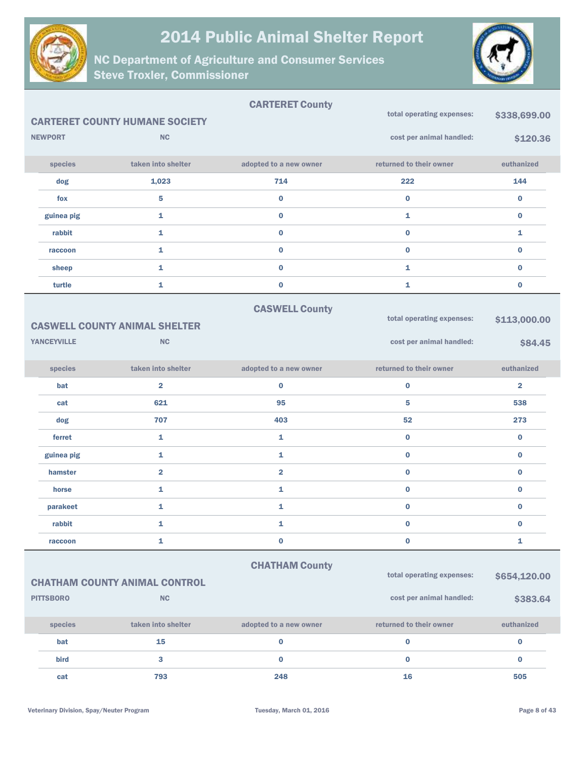



|                    |                                                                                   | <b>CARTERET County</b>  | total operating expenses: | \$338,699.00            |  |  |
|--------------------|-----------------------------------------------------------------------------------|-------------------------|---------------------------|-------------------------|--|--|
|                    | <b>CARTERET COUNTY HUMANE SOCIETY</b>                                             |                         |                           |                         |  |  |
| <b>NEWPORT</b>     | <b>NC</b>                                                                         |                         | cost per animal handled:  | \$120.36                |  |  |
| species            | taken into shelter                                                                | adopted to a new owner  | returned to their owner   | euthanized              |  |  |
| dog                | 1,023                                                                             | 714                     | 222                       | 144                     |  |  |
| fox                | 5                                                                                 | $\bf{0}$                | $\bf{0}$                  | $\bf{0}$                |  |  |
| guinea pig         | 1                                                                                 | 0                       | 1                         | $\bf{0}$                |  |  |
| rabbit             | 1                                                                                 | $\mathbf 0$             | $\bf{0}$                  | 1                       |  |  |
| raccoon            | 1                                                                                 | 0                       | $\bf{0}$                  | $\bf{0}$                |  |  |
| sheep              | 1                                                                                 | $\mathbf{0}$            | $\mathbf{1}$              | $\bf{0}$                |  |  |
| turtle             | 1                                                                                 | $\bf{0}$                | 1                         | $\bf{0}$                |  |  |
|                    |                                                                                   | <b>CASWELL County</b>   |                           |                         |  |  |
|                    | <b>CASWELL COUNTY ANIMAL SHELTER</b>                                              |                         | total operating expenses: | \$113,000.00            |  |  |
| <b>YANCEYVILLE</b> | <b>NC</b>                                                                         |                         | cost per animal handled:  | \$84.45                 |  |  |
| species            | taken into shelter                                                                | adopted to a new owner  | returned to their owner   | euthanized              |  |  |
| bat                | $\overline{\mathbf{2}}$                                                           | 0                       | $\bf{0}$                  | $\overline{\mathbf{2}}$ |  |  |
| cat                | 621                                                                               | 95                      | 5                         | 538                     |  |  |
| dog                | 707                                                                               | 403                     | 52                        | 273                     |  |  |
| ferret             | 1                                                                                 | 1                       | $\bf{0}$                  | $\mathbf 0$             |  |  |
| guinea pig         | 1                                                                                 | 1                       | $\bf{0}$                  | $\bf{0}$                |  |  |
| hamster            | $\overline{\mathbf{2}}$                                                           | $\overline{\mathbf{2}}$ | $\bf{0}$                  | $\mathbf 0$             |  |  |
| horse              | 1                                                                                 | 1                       | $\bf{0}$                  | $\bf{0}$                |  |  |
| parakeet           | 1                                                                                 | 1                       | $\bf{0}$                  | $\bf{0}$                |  |  |
| rabbit             | 1                                                                                 | 1                       | $\bf{0}$                  | $\bf{0}$                |  |  |
| raccoon            | 1                                                                                 | 0                       | $\bf{0}$                  | $\mathbf{1}$            |  |  |
|                    |                                                                                   | <b>CHATHAM County</b>   |                           |                         |  |  |
|                    | total operating expenses:<br>\$654,120.00<br><b>CHATHAM COUNTY ANIMAL CONTROL</b> |                         |                           |                         |  |  |
| <b>PITTSBORO</b>   | NC                                                                                |                         | cost per animal handled:  | \$383.64                |  |  |
| species            | taken into shelter                                                                | adopted to a new owner  | returned to their owner   | euthanized              |  |  |
| bat                | 15                                                                                | $\bf{0}$                | $\bf{0}$                  | $\bf{0}$                |  |  |
| bird               | 3                                                                                 | 0                       | $\bf{0}$                  | $\bf{0}$                |  |  |
| cat                | 793                                                                               | 248                     | 16                        | 505                     |  |  |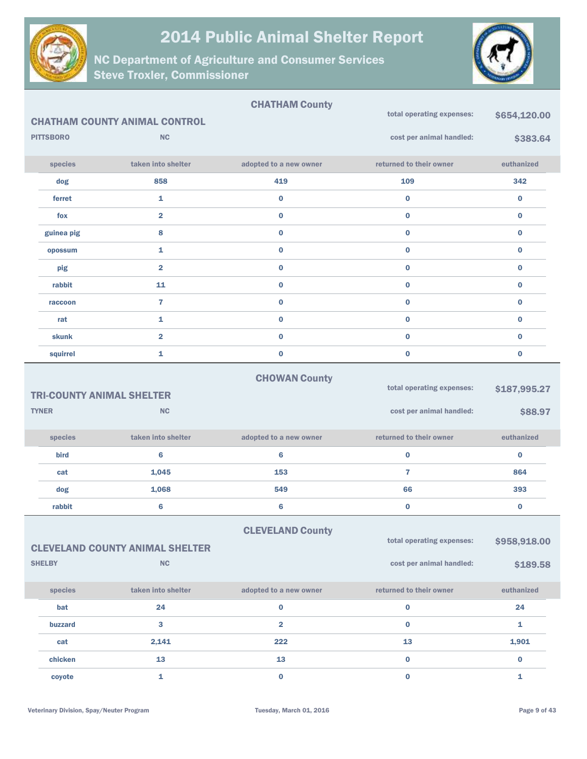



|                  |                                                   | <b>CHATHAM County</b>   | total operating expenses: | \$654,120.00 |
|------------------|---------------------------------------------------|-------------------------|---------------------------|--------------|
| <b>PITTSBORO</b> | <b>CHATHAM COUNTY ANIMAL CONTROL</b><br><b>NC</b> |                         | cost per animal handled:  |              |
|                  |                                                   |                         |                           | \$383.64     |
| species          | taken into shelter                                | adopted to a new owner  | returned to their owner   | euthanized   |
| dog              | 858                                               | 419                     | 109                       | 342          |
| ferret           | 1                                                 | $\bf{0}$                | $\bf{0}$                  | $\bf{0}$     |
| fox              | $\overline{\mathbf{2}}$                           | $\bf{0}$                | $\bf{0}$                  | $\bf{0}$     |
| guinea pig       | 8                                                 | $\bf{0}$                | $\bf{0}$                  | $\bf{0}$     |
| opossum          | 1                                                 | $\bf{0}$                | $\bf{0}$                  | $\bf{0}$     |
| pig              | $\overline{\mathbf{2}}$                           | $\bf{0}$                | $\bf{0}$                  | $\bf{0}$     |
| rabbit           | 11                                                | $\bf{0}$                | $\bf{0}$                  | $\bf{0}$     |
| raccoon          | $\overline{7}$                                    | $\bf{0}$                | $\bf{0}$                  | $\bf{0}$     |
| rat              | 1                                                 | $\bf{0}$                | $\bf{0}$                  | $\bf{0}$     |
| <b>skunk</b>     | $\overline{\mathbf{2}}$                           | $\bf{0}$                | $\bf{0}$                  | $\bf{0}$     |
| squirrel         | 1                                                 | $\bf{0}$                | $\bf{0}$                  | $\mathbf 0$  |
|                  |                                                   | <b>CHOWAN County</b>    |                           |              |
|                  | <b>TRI-COUNTY ANIMAL SHELTER</b>                  |                         | total operating expenses: | \$187,995.27 |
| <b>TYNER</b>     | <b>NC</b>                                         |                         | cost per animal handled:  | \$88.97      |
|                  |                                                   |                         |                           |              |
| species          | taken into shelter                                | adopted to a new owner  | returned to their owner   | euthanized   |
| bird             | $6\phantom{1}$                                    | 6                       | $\bf{0}$                  | $\bf{0}$     |
| cat              | 1,045                                             | 153                     | $\overline{7}$            | 864          |
| dog              | 1,068                                             | 549                     | 66                        | 393          |
| rabbit           | $\bf 6$                                           | 6                       | $\bf{0}$                  | $\bf{0}$     |
|                  |                                                   | <b>CLEVELAND County</b> |                           |              |
|                  | <b>CLEVELAND COUNTY ANIMAL SHELTER</b>            |                         | total operating expenses: | \$958,918.00 |
| <b>SHELBY</b>    | NC                                                |                         | cost per animal handled:  | \$189.58     |
|                  |                                                   |                         |                           |              |
| species          | taken into shelter                                | adopted to a new owner  | returned to their owner   | euthanized   |
| bat              | 24                                                | $\bf{0}$                | $\mathbf 0$               | 24           |
| buzzard          | 3                                                 | $\overline{\mathbf{2}}$ | $\bf{0}$                  | 1            |
| cat              | 2,141                                             | 222                     | 13                        | 1,901        |
| chicken          | 13                                                | 13                      | $\mathbf 0$               | $\pmb{0}$    |
| coyote           | $\mathbf{1}$                                      | $\mathbf 0$             | $\pmb{0}$                 | $\mathbf{1}$ |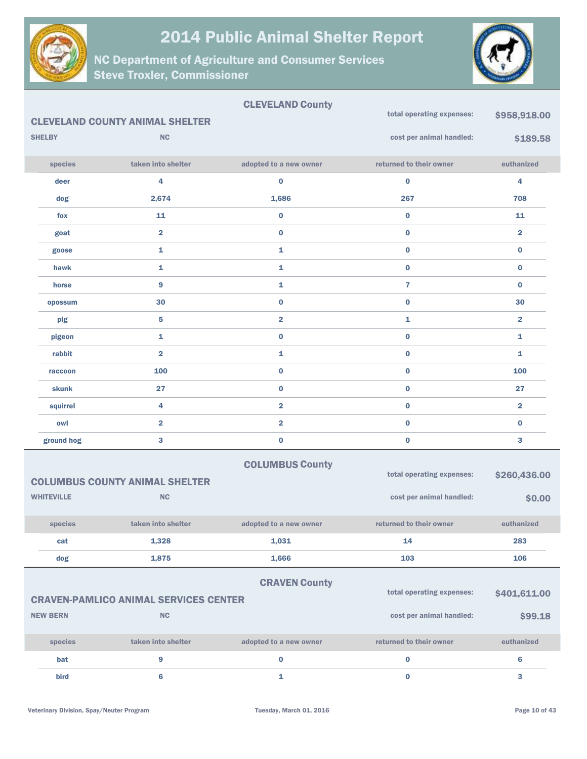

NC Department of Agriculture and Consumer Services Steve Troxler, Commissioner



#### CLEVELAND County CLEVELAND COUNTY ANIMAL SHELTER SHELBY NC species taken into shelter adopted to a new owner returned to their owner euthanized total operating expenses: \$958,918.00 cost per animal handled: \$189.58 deer 4 0 0 4 dog 2,674 1,686 267 708 fox  $11$  0 0 0 11 goat 2 0 0 2 goose 1 1 0 0 hawk  $1$   $1$   $0$   $0$ horse 9 1 7 0 opossum  $30$   $0$   $0$   $0$   $30$  $\frac{1}{2}$  pig and  $\frac{5}{2}$  2  $\frac{1}{2}$  2  $\frac{2}{2}$  2  $\frac{1}{2}$  2  $\frac{2}{2}$ pigeon 1 0 0 1 rabbit  $\qquad \qquad \text{and} \qquad \qquad \text{and} \qquad \text{and} \qquad \text{and} \qquad \text{and} \qquad \text{and} \qquad \text{and} \qquad \text{and} \qquad \text{and} \qquad \text{and} \qquad \text{and} \qquad \text{and} \qquad \text{and} \qquad \text{and} \qquad \text{and} \qquad \text{and} \qquad \text{and} \qquad \text{and} \qquad \text{and} \qquad \text{and} \qquad \text{and} \qquad \text{and} \qquad \text{and} \qquad \text{and} \qquad \text{and} \qquad \text{and$ raccoon and  $\begin{array}{ccc} 100 & 0 & 0 \end{array}$ skunk 27 0 0 27 squirrel 4 2 0 2 owl 2 2 0 0 ground hog  $\begin{array}{cccc} 3 & 0 & 0 \end{array}$ COLUMBUS County COLUMBUS COUNTY ANIMAL SHELTER WHITEVILLE NO. species taken into shelter adopted to a new owner returned to their owner euthanized total operating expenses: \$260,436.00 cost per animal handled:  $$0.00$ cat 1,328 1,031 14 283 dog 1,875 1,666 103 106 CRAVEN County CRAVEN-PAMLICO ANIMAL SERVICES CENTER NEW BERN NC species taken into shelter adopted to a new owner returned to their owner euthanized total operating expenses: \$401,611.00 cost per animal handled:  $$99.18$ bat 9 0 0 6

bird 6  $\begin{array}{ccc} 6 & 1 \end{array}$  0  $\begin{array}{ccc} 3 & 3 \end{array}$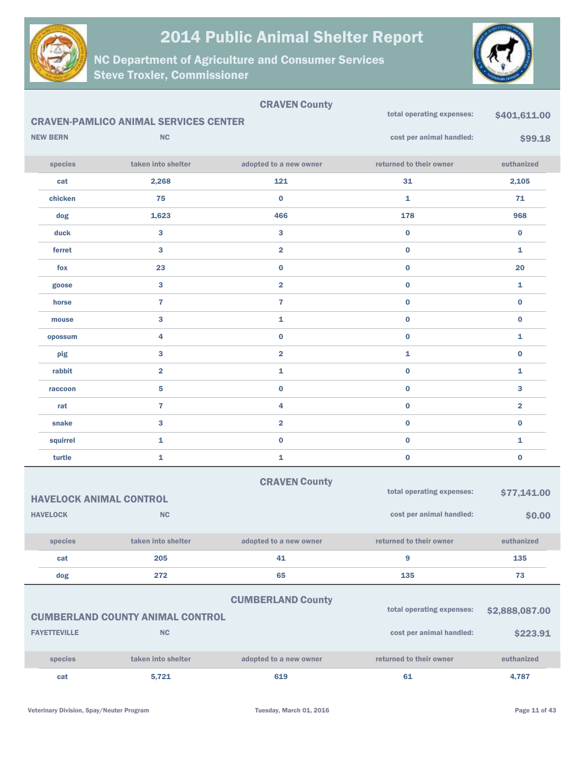



| <b>CRAVEN County</b> |                     |                                              |                          |                           |                         |
|----------------------|---------------------|----------------------------------------------|--------------------------|---------------------------|-------------------------|
|                      |                     | <b>CRAVEN-PAMLICO ANIMAL SERVICES CENTER</b> |                          | total operating expenses: | \$401,611.00            |
|                      | <b>NEW BERN</b>     | <b>NC</b>                                    |                          | cost per animal handled:  | \$99.18                 |
|                      | species             | taken into shelter                           | adopted to a new owner   | returned to their owner   | euthanized              |
|                      | cat                 | 2,268                                        | 121                      | 31                        | 2,105                   |
|                      | chicken             | 75                                           | $\bf{0}$                 | $\mathbf{1}$              | 71                      |
|                      | dog                 | 1,623                                        | 466                      | 178                       | 968                     |
|                      | duck                | $\mathbf{3}$                                 | 3                        | $\bf{0}$                  | $\bf{0}$                |
|                      | ferret              | 3                                            | $\overline{2}$           | $\bf{0}$                  | 1                       |
|                      | fox                 | 23                                           | $\bf{0}$                 | $\bf{0}$                  | 20                      |
|                      | goose               | $\bf{3}$                                     | $\overline{2}$           | $\bf{0}$                  | 1                       |
|                      | horse               | $\overline{7}$                               | $\overline{7}$           | $\bf{0}$                  | $\bf{0}$                |
|                      | mouse               | $\mathbf{3}$                                 | 1                        | $\bf{0}$                  | $\bf{0}$                |
|                      | opossum             | 4                                            | $\bf{0}$                 | $\bf{0}$                  | 1                       |
|                      | pig                 | 3                                            | $\overline{\mathbf{2}}$  | $\mathbf{1}$              | $\bf{0}$                |
|                      | rabbit              | $\overline{\mathbf{2}}$                      | 1                        | $\bf{0}$                  | 1                       |
|                      | raccoon             | 5                                            | $\bf{0}$                 | $\bf{0}$                  | 3                       |
|                      | rat                 | $\overline{7}$                               | 4                        | $\bf{0}$                  | $\overline{\mathbf{2}}$ |
|                      | snake               | 3                                            | $\overline{\mathbf{2}}$  | $\bf{0}$                  | $\bf{0}$                |
|                      | squirrel            | 1                                            | $\bf{0}$                 | $\bf{0}$                  | 1                       |
|                      | turtle              | 1                                            | 1                        | $\bf{0}$                  | $\bf{0}$                |
|                      |                     |                                              | <b>CRAVEN County</b>     |                           |                         |
|                      |                     | <b>HAVELOCK ANIMAL CONTROL</b>               |                          | total operating expenses: | \$77,141.00             |
|                      | <b>HAVELOCK</b>     | <b>NC</b>                                    |                          | cost per animal handled:  | \$0.00                  |
|                      | species             | taken into shelter                           | adopted to a new owner   | returned to their owner   | euthanized              |
|                      | cat                 | 205                                          | 41                       | 9                         | 135                     |
|                      | dog                 | 272                                          | 65                       | 135                       | 73                      |
|                      |                     |                                              | <b>CUMBERLAND County</b> |                           |                         |
|                      |                     | <b>CUMBERLAND COUNTY ANIMAL CONTROL</b>      |                          | total operating expenses: | \$2,888,087.00          |
|                      | <b>FAYETTEVILLE</b> | NC                                           |                          | cost per animal handled:  | \$223.91                |
|                      | species             | taken into shelter                           | adopted to a new owner   | returned to their owner   | euthanized              |
|                      | cat                 | 5,721                                        | 619                      | 61                        | 4,787                   |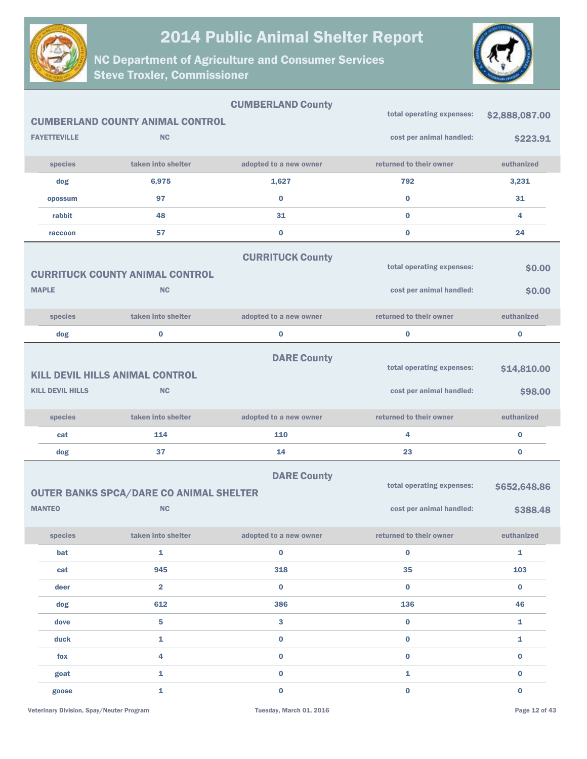



|                         |                                                | <b>CUMBERLAND County</b> |                           |                |
|-------------------------|------------------------------------------------|--------------------------|---------------------------|----------------|
|                         | <b>CUMBERLAND COUNTY ANIMAL CONTROL</b>        |                          | total operating expenses: | \$2,888,087.00 |
| <b>FAYETTEVILLE</b>     | <b>NC</b>                                      |                          | cost per animal handled:  | \$223.91       |
| species                 | taken into shelter                             | adopted to a new owner   | returned to their owner   | euthanized     |
| dog                     | 6,975                                          | 1,627                    | 792                       | 3,231          |
| opossum                 | 97                                             | 0                        | $\bf{0}$                  | 31             |
| rabbit                  | 48                                             | 31                       | $\bf{0}$                  | 4              |
| raccoon                 | 57                                             | 0                        | $\bf{0}$                  | 24             |
|                         |                                                | <b>CURRITUCK County</b>  |                           |                |
|                         | <b>CURRITUCK COUNTY ANIMAL CONTROL</b>         |                          | total operating expenses: | \$0.00         |
| <b>MAPLE</b>            | <b>NC</b>                                      |                          | cost per animal handled:  | \$0.00         |
| species                 | taken into shelter                             | adopted to a new owner   | returned to their owner   | euthanized     |
| dog                     | $\bf{0}$                                       | 0                        | $\bf{0}$                  | $\bf{0}$       |
|                         | <b>KILL DEVIL HILLS ANIMAL CONTROL</b>         | <b>DARE County</b>       | total operating expenses: | \$14,810.00    |
| <b>KILL DEVIL HILLS</b> | <b>NC</b>                                      |                          | cost per animal handled:  | \$98.00        |
| species                 | taken into shelter                             | adopted to a new owner   | returned to their owner   | euthanized     |
| cat                     | 114                                            | 110                      | 4                         | $\bf{0}$       |
| dog                     | 37                                             | 14                       | 23                        | $\bf{0}$       |
|                         | <b>OUTER BANKS SPCA/DARE CO ANIMAL SHELTER</b> | <b>DARE County</b>       | total operating expenses: | \$652,648.86   |
| <b>MANTEO</b>           | <b>NC</b>                                      |                          | cost per animal handled:  | \$388.48       |
| species                 | taken into shelter                             | adopted to a new owner   | returned to their owner   | euthanized     |
| bat                     | 1                                              | 0                        | $\mathbf 0$               | $\mathbf{1}$   |
| cat                     | 945                                            | 318                      | 35                        | 103            |
| deer                    | $\overline{2}$                                 | $\mathbf 0$              | $\bf{0}$                  | $\bf{0}$       |
| dog                     | 612                                            | 386                      | 136                       | 46             |
| dove                    | 5                                              | 3                        | $\bf{0}$                  | $\mathbf{1}$   |
| duck                    | 1                                              | 0                        | $\mathbf 0$               | $\mathbf{1}$   |
| fox                     | 4                                              | 0                        | $\bf{0}$                  | $\bf{0}$       |
| goat                    | 1                                              | 0                        | $\mathbf{1}$              | $\bf{0}$       |
| goose                   | $\mathbf 1$                                    | $\mathbf 0$              | $\mathbf 0$               | $\pmb{0}$      |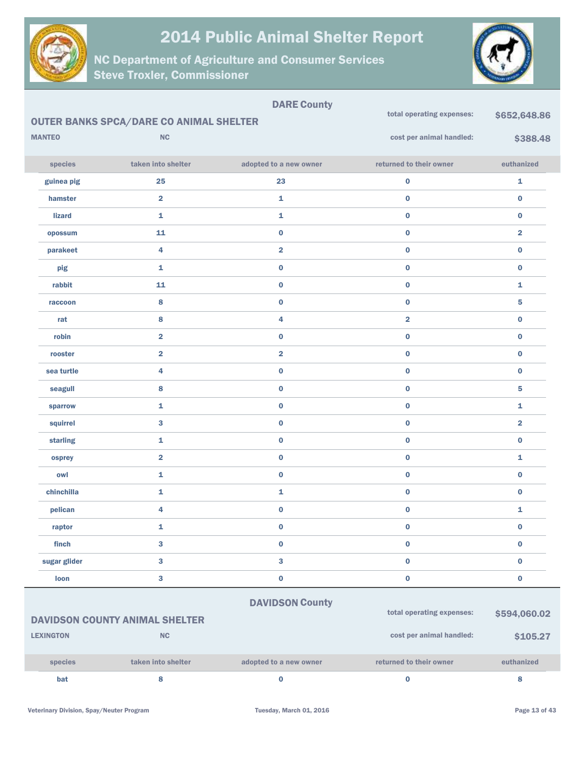

NC Department of Agriculture and Consumer Services Steve Troxler, Commissioner



|                  |                                                | <b>DARE County</b>      |                           |                         |
|------------------|------------------------------------------------|-------------------------|---------------------------|-------------------------|
|                  | <b>OUTER BANKS SPCA/DARE CO ANIMAL SHELTER</b> |                         | total operating expenses: | \$652,648.86            |
| <b>MANTEO</b>    | NC                                             |                         | cost per animal handled:  | \$388.48                |
| species          | taken into shelter                             | adopted to a new owner  | returned to their owner   | euthanized              |
| guinea pig       | 25                                             | 23                      | $\pmb{0}$                 | $\mathbf{1}$            |
| hamster          | $\overline{\mathbf{2}}$                        | 1                       | $\bf{0}$                  | $\bf{0}$                |
| <b>lizard</b>    | $\mathbf{1}$                                   | 1                       | $\bf{0}$                  | $\bf{0}$                |
| opossum          | 11                                             | $\bf{0}$                | $\bf{0}$                  | $\overline{\mathbf{2}}$ |
| parakeet         | 4                                              | $\overline{2}$          | $\bf{0}$                  | $\bf{0}$                |
| pig              | $\mathbf{1}$                                   | $\bf{0}$                | $\bf{0}$                  | $\mathbf 0$             |
| rabbit           | 11                                             | $\bf{0}$                | $\bf{0}$                  | $\mathbf{1}$            |
| raccoon          | 8                                              | 0                       | $\bf{0}$                  | 5                       |
| rat              | 8                                              | 4                       | $\overline{\mathbf{2}}$   | $\bf{0}$                |
| robin            | $\overline{\mathbf{2}}$                        | 0                       | $\pmb{0}$                 | $\bf{0}$                |
| rooster          | $\overline{\mathbf{2}}$                        | $\overline{\mathbf{2}}$ | $\bf{0}$                  | $\bf{0}$                |
| sea turtle       | 4                                              | $\bf{0}$                | $\bf{0}$                  | $\bf{0}$                |
| seagull          | 8                                              | $\bf{0}$                | $\bf{0}$                  | 5                       |
| sparrow          | $\mathbf{1}$                                   | $\bf{0}$                | $\bf{0}$                  | $\mathbf{1}$            |
| squirrel         | 3                                              | $\bf{0}$                | $\bf{0}$                  | $\overline{\mathbf{2}}$ |
| starling         | $\mathbf{1}$                                   | $\bf{0}$                | $\bf{0}$                  | $\bf{0}$                |
| osprey           | $\overline{\mathbf{2}}$                        | $\bf{0}$                | $\bf{0}$                  | 1                       |
| owl              | $\mathbf{1}$                                   | $\bf{0}$                | $\pmb{0}$                 | $\bf{0}$                |
| chinchilla       | $\mathbf{1}$                                   | 1                       | $\mathbf 0$               | $\bf{0}$                |
| pelican          | 4                                              | $\bf{0}$                | $\pmb{0}$                 | $\mathbf{1}$            |
| raptor           | 1                                              | $\bf{0}$                | $\bf{0}$                  | $\bf{0}$                |
| finch            | 3                                              | $\pmb{0}$               | $\pmb{0}$                 | $\bf{0}$                |
| sugar glider     | $\bf{3}$                                       | 3                       | $\pmb{0}$                 | $\bf{0}$                |
| loon             | $\mathbf 3$                                    | $\pmb{0}$               | $\pmb{0}$                 | $\pmb{0}$               |
|                  |                                                | <b>DAVIDSON County</b>  |                           |                         |
|                  | <b>DAVIDSON COUNTY ANIMAL SHELTER</b>          |                         | total operating expenses: | \$594,060.02            |
| <b>LEXINGTON</b> | NC                                             |                         | cost per animal handled:  | \$105.27                |
| species          | taken into shelter                             | adopted to a new owner  | returned to their owner   | euthanized              |

bat 8 0 0 8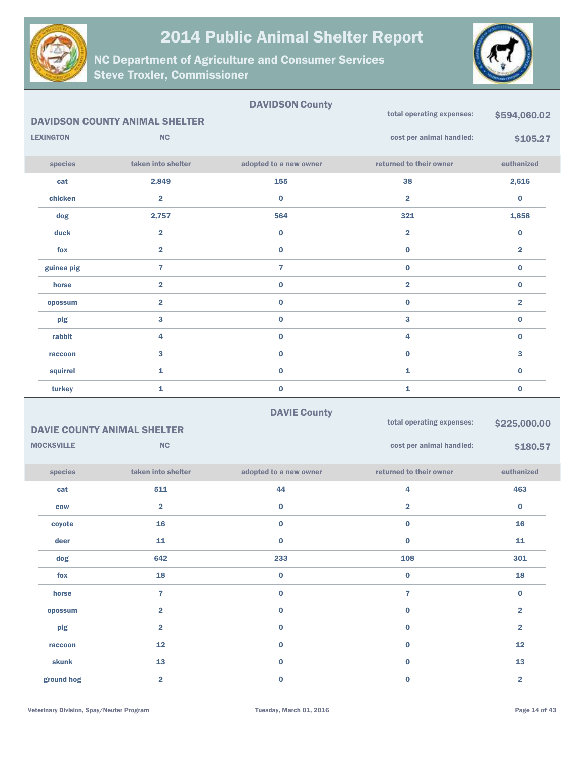



|                   |                                       | <b>DAVIDSON County</b> | total operating expenses: | \$594,060.02            |
|-------------------|---------------------------------------|------------------------|---------------------------|-------------------------|
|                   | <b>DAVIDSON COUNTY ANIMAL SHELTER</b> |                        |                           |                         |
| <b>LEXINGTON</b>  | <b>NC</b>                             |                        | cost per animal handled:  | \$105.27                |
| species           | taken into shelter                    | adopted to a new owner | returned to their owner   | euthanized              |
| cat               | 2,849                                 | 155                    | 38                        | 2,616                   |
| chicken           | $\overline{\mathbf{2}}$               | $\bf{0}$               | $\overline{\mathbf{2}}$   | $\bf{0}$                |
| dog               | 2,757                                 | 564                    | 321                       | 1,858                   |
| duck              | $\overline{\mathbf{2}}$               | $\pmb{0}$              | 2                         | $\bf{0}$                |
| fox               | $\overline{\mathbf{2}}$               | $\bf{0}$               | $\mathbf 0$               | $\overline{\mathbf{2}}$ |
| guinea pig        | $\overline{7}$                        | $\mathbf{7}$           | $\mathbf 0$               | $\bf{0}$                |
| horse             | $\overline{\mathbf{2}}$               | $\bf{0}$               | $\overline{\mathbf{2}}$   | $\bf{0}$                |
| opossum           | $\overline{\mathbf{2}}$               | $\pmb{0}$              | $\pmb{0}$                 | $\overline{\mathbf{2}}$ |
| pig               | $\bf{3}$                              | $\pmb{0}$              | 3                         | $\bf{0}$                |
| rabbit            | $\overline{\mathbf{4}}$               | $\pmb{0}$              | 4                         | $\bf{0}$                |
| raccoon           | $\mathbf{3}$                          | $\pmb{0}$              | $\mathbf 0$               | 3                       |
| squirrel          | $\mathbf 1$                           | $\pmb{0}$              | 1                         | $\bf{0}$                |
| turkey            | $\mathbf 1$                           | $\pmb{0}$              | 1                         | $\bf{0}$                |
|                   |                                       | <b>DAVIE County</b>    |                           |                         |
|                   | <b>DAVIE COUNTY ANIMAL SHELTER</b>    |                        | total operating expenses: | \$225,000.00            |
| <b>MOCKSVILLE</b> | <b>NC</b>                             |                        | cost per animal handled:  | \$180.57                |
| species           |                                       |                        |                           |                         |
|                   | taken into shelter                    | adopted to a new owner | returned to their owner   | euthanized              |
| cat               | 511                                   | 44                     | 4                         | 463                     |
| <b>COW</b>        | $\overline{2}$                        | $\bf{0}$               | $\overline{\mathbf{2}}$   | $\bf{0}$                |
| coyote            | 16                                    | $\bf{0}$               | $\bf{0}$                  | 16                      |
| deer              | 11                                    | $\pmb{0}$              | $\mathbf 0$               | 11                      |
| dog               | 642                                   | 233                    | 108                       | 301                     |
| fox               | 18                                    | $\mathbf 0$            | $\mathbf 0$               | 18                      |
| horse             | $\overline{7}$                        | $\mathbf 0$            | $\overline{7}$            | $\mathbf 0$             |
| opossum           | $\overline{2}$                        | $\mathbf 0$            | $\mathbf 0$               | $\overline{\mathbf{2}}$ |
| pig               | $\overline{2}$                        | $\mathbf 0$            | $\mathbf 0$               | $\overline{\mathbf{2}}$ |
| raccoon           | 12                                    | $\mathbf 0$            | $\pmb{0}$                 | 12                      |
| skunk             | 13                                    | $\mathbf 0$            | $\pmb{0}$                 | 13                      |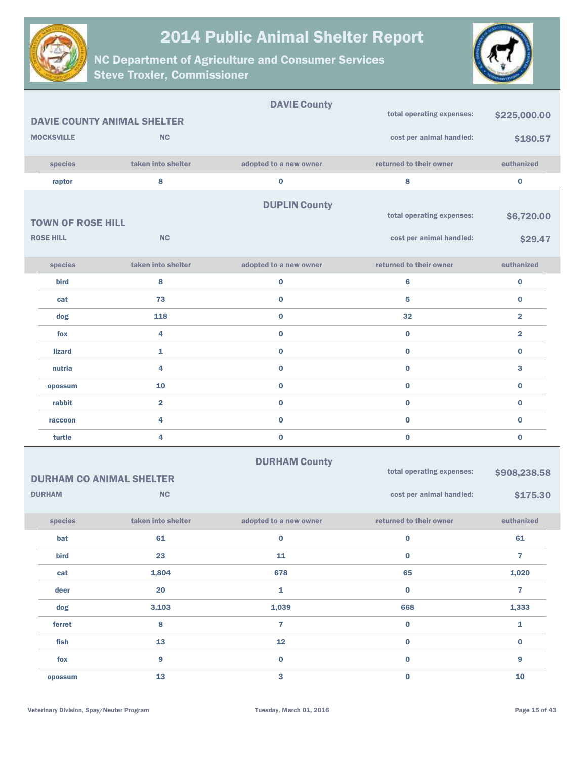



|                                 |                                    | <b>DAVIE County</b>    |                           |                         |  |
|---------------------------------|------------------------------------|------------------------|---------------------------|-------------------------|--|
|                                 | <b>DAVIE COUNTY ANIMAL SHELTER</b> |                        | total operating expenses: | \$225,000.00            |  |
| <b>MOCKSVILLE</b>               | <b>NC</b>                          |                        | cost per animal handled:  | \$180.57                |  |
| species                         | taken into shelter                 | adopted to a new owner | returned to their owner   | euthanized              |  |
| raptor                          | 8                                  | $\bf{0}$               | 8                         | $\pmb{0}$               |  |
|                                 |                                    | <b>DUPLIN County</b>   |                           |                         |  |
| <b>TOWN OF ROSE HILL</b>        |                                    |                        | total operating expenses: | \$6,720.00              |  |
| <b>ROSE HILL</b>                | <b>NC</b>                          |                        | cost per animal handled:  | \$29.47                 |  |
|                                 |                                    |                        |                           |                         |  |
| species                         | taken into shelter                 | adopted to a new owner | returned to their owner   | euthanized              |  |
| bird                            | 8                                  | $\bf{0}$               | 6                         | $\bf{0}$                |  |
| cat                             | 73                                 | $\bf{0}$               | 5                         | $\bf{0}$                |  |
| dog                             | 118                                | $\bf{0}$               | 32                        | $\overline{\mathbf{2}}$ |  |
| fox                             | 4                                  | $\bf{0}$               | $\bf{0}$                  | $\overline{\mathbf{2}}$ |  |
| <b>lizard</b>                   | 1                                  | $\bf{0}$               | $\bf{0}$                  | $\bf{0}$                |  |
| nutria                          | 4                                  | $\bf{0}$               | $\mathbf 0$               | 3                       |  |
| opossum                         | 10                                 | $\bf{0}$               | $\bf{0}$                  | $\pmb{0}$               |  |
| rabbit                          | $\overline{\mathbf{2}}$            | $\bf{0}$               | $\mathbf 0$               | $\bf{0}$                |  |
| raccoon                         | 4                                  | $\bf{0}$               | $\bf{0}$                  | $\pmb{0}$               |  |
| turtle                          | 4                                  | $\bf{0}$               | $\mathbf 0$               | $\pmb{0}$               |  |
|                                 |                                    | <b>DURHAM County</b>   |                           |                         |  |
| <b>DURHAM CO ANIMAL SHELTER</b> |                                    |                        | total operating expenses: | \$908,238.58            |  |
| <b>DURHAM</b>                   | <b>NC</b>                          |                        | cost per animal handled:  | \$175.30                |  |
| species                         | taken into shelter                 | adopted to a new owner | returned to their owner   | euthanized              |  |
| bat                             | 61                                 | $\mathbf 0$            | $\mathbf 0$               | 61                      |  |
| bird                            | 23                                 | 11                     | $\mathbf{0}$              | $\overline{7}$          |  |
| cat                             | 1,804                              | 678                    | 65                        | 1,020                   |  |
| deer                            | 20                                 | $\mathbf{1}$           | $\mathbf 0$               | $\mathbf{7}$            |  |
| dog                             | 3,103                              | 1,039                  | 668                       | 1,333                   |  |
| ferret                          | $\bf{8}$                           | $\overline{7}$         | $\mathbf 0$               | $\mathbf{1}$            |  |
| fish                            | 13                                 | 12                     | $\mathbf 0$               | $\mathbf 0$             |  |
| fox                             | $\boldsymbol{9}$                   | $\mathbf 0$            | $\mathbf 0$               | $\overline{9}$          |  |
| opossum                         | 13                                 | $\mathbf{3}$           | $\mathbf 0$               | ${\bf 10}$              |  |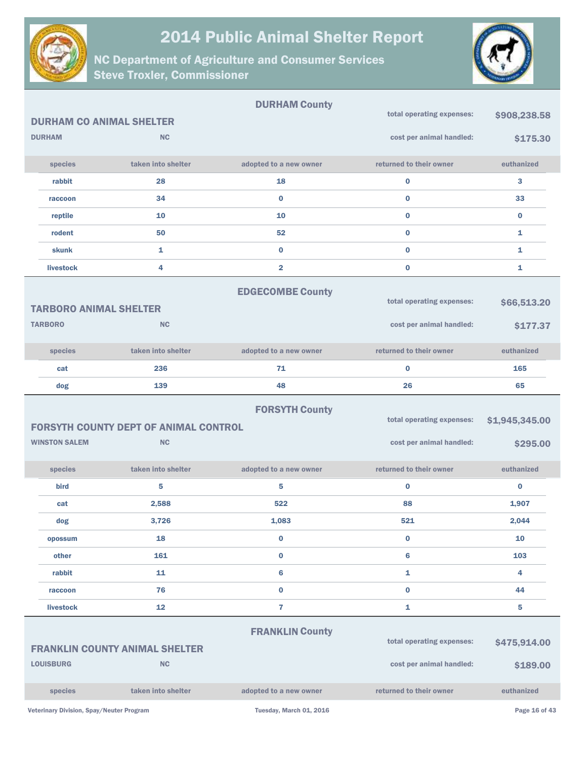

NC Department of Agriculture and Consumer Services Steve Troxler, Commissioner



|                                                 |                                              | <b>DURHAM County</b>    | total operating expenses:                             | \$908,238.58            |
|-------------------------------------------------|----------------------------------------------|-------------------------|-------------------------------------------------------|-------------------------|
| <b>DURHAM CO ANIMAL SHELTER</b>                 |                                              |                         |                                                       |                         |
| <b>DURHAM</b>                                   | <b>NC</b>                                    |                         | cost per animal handled:                              | \$175.30                |
| species                                         | taken into shelter                           | adopted to a new owner  | returned to their owner                               | euthanized              |
| rabbit                                          | 28                                           | 18                      | $\bf{0}$                                              | 3                       |
| raccoon                                         | 34                                           | $\bf{0}$                | $\bf{0}$                                              | 33                      |
| reptile                                         | 10                                           | 10                      | $\bf{0}$                                              | $\bf{0}$                |
| rodent                                          | 50                                           | 52                      | $\bf{0}$                                              | 1                       |
| skunk                                           | $\mathbf{1}$                                 | $\bf{0}$                | $\bf{0}$                                              | $\mathbf{1}$            |
| livestock                                       | 4                                            | $\overline{\mathbf{2}}$ | $\bf{0}$                                              | 1                       |
| <b>TARBORO ANIMAL SHELTER</b><br><b>TARBORO</b> | <b>NC</b>                                    | <b>EDGECOMBE County</b> | total operating expenses:<br>cost per animal handled: | \$66,513.20<br>\$177.37 |
|                                                 |                                              |                         |                                                       |                         |
| species                                         | taken into shelter                           | adopted to a new owner  | returned to their owner                               | euthanized              |
| cat                                             | 236                                          | 71                      | $\bf{0}$                                              | 165                     |
| dog                                             | 139                                          | 48                      | 26                                                    | 65                      |
|                                                 |                                              |                         |                                                       |                         |
|                                                 | <b>FORSYTH COUNTY DEPT OF ANIMAL CONTROL</b> | <b>FORSYTH County</b>   | total operating expenses:                             | \$1,945,345.00          |
| <b>WINSTON SALEM</b>                            | <b>NC</b>                                    |                         | cost per animal handled:                              | \$295.00                |
| species                                         | taken into shelter                           | adopted to a new owner  | returned to their owner                               | euthanized              |
| <b>bird</b>                                     | 5                                            | 5                       | $\bf{0}$                                              | $\bf{0}$                |
| cat                                             | 2,588                                        | 522                     | 88                                                    | 1,907                   |
| dog                                             | 3,726                                        | 1,083                   | 521                                                   | 2,044                   |
| opossum                                         | 18                                           | $\bf{0}$                | $\bf{0}$                                              | 10                      |
| other                                           | 161                                          | $\bf{0}$                | 6                                                     | 103                     |
| rabbit                                          | 11                                           | 6                       | $\mathbf{1}$                                          | 4                       |
| raccoon                                         | 76                                           | $\bf{0}$                | $\bf{0}$                                              | 44                      |
| livestock                                       | 12                                           | $\overline{7}$          | $\mathbf{1}$                                          | 5                       |
|                                                 | <b>FRANKLIN COUNTY ANIMAL SHELTER</b>        | <b>FRANKLIN County</b>  | total operating expenses:                             | \$475,914.00            |
| <b>LOUISBURG</b>                                | <b>NC</b>                                    |                         | cost per animal handled:                              | \$189.00                |
| species                                         | taken into shelter                           | adopted to a new owner  | returned to their owner                               | euthanized              |

Veterinary Division, Spay/Neuter Program Tuesday, March 01, 2016 and Division, Spay/Neuter Program Page 16 of 43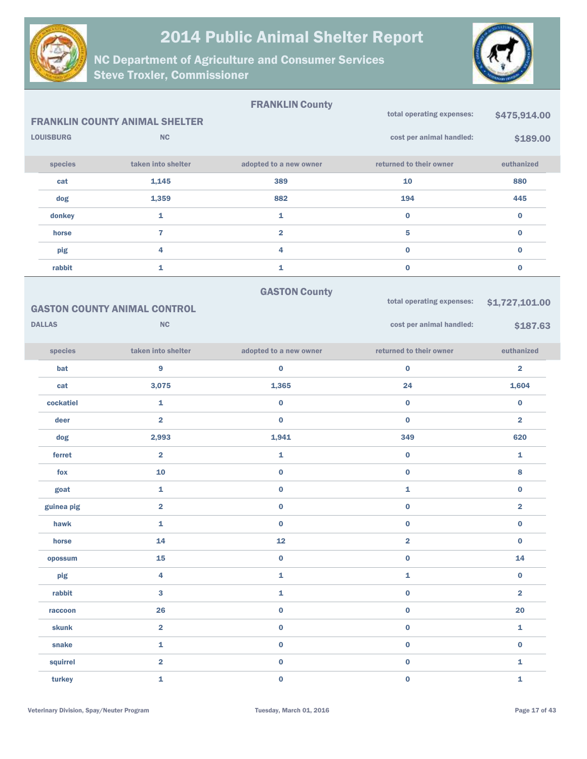



|                  |                                       | <b>FRANKLIN County</b> | total operating expenses: |                         |
|------------------|---------------------------------------|------------------------|---------------------------|-------------------------|
|                  | <b>FRANKLIN COUNTY ANIMAL SHELTER</b> |                        |                           | \$475,914.00            |
| <b>LOUISBURG</b> | <b>NC</b>                             |                        | cost per animal handled:  | \$189.00                |
| species          | taken into shelter                    | adopted to a new owner | returned to their owner   | euthanized              |
| cat              | 1,145                                 | 389                    | ${\bf 10}$                | 880                     |
| dog              | 1,359                                 | 882                    | 194                       | 445                     |
| donkey           | $\mathbf{1}$                          | 1                      | $\mathbf 0$               | $\pmb{0}$               |
| horse            | $\overline{7}$                        | $\overline{2}$         | 5                         | $\pmb{0}$               |
| pig              | $\overline{\mathbf{4}}$               | 4                      | $\mathbf 0$               | $\pmb{0}$               |
| rabbit           | $\mathbf{1}$                          | 1                      | $\bf{0}$                  | $\pmb{0}$               |
|                  |                                       | <b>GASTON County</b>   |                           |                         |
|                  | <b>GASTON COUNTY ANIMAL CONTROL</b>   |                        | total operating expenses: | \$1,727,101.00          |
| <b>DALLAS</b>    | NC                                    |                        | cost per animal handled:  | \$187.63                |
| species          | taken into shelter                    | adopted to a new owner | returned to their owner   | euthanized              |
| bat              | $\boldsymbol{9}$                      | $\bf{0}$               | $\bf{0}$                  | $\overline{\mathbf{2}}$ |
| cat              | 3,075                                 | 1,365                  | 24                        | 1,604                   |
| cockatiel        | $\mathbf{1}$                          | $\bf{0}$               | $\bf{0}$                  | $\bf{0}$                |
| deer             | $\overline{\mathbf{2}}$               | $\bf{0}$               | $\bf{0}$                  | $\overline{\mathbf{2}}$ |
| dog              | 2,993                                 | 1,941                  | 349                       | 620                     |
| ferret           | $\overline{\mathbf{2}}$               | 1                      | 0                         | 1                       |
| fox              | 10                                    | $\mathbf 0$            | $\bf{0}$                  | 8                       |
| goat             | 1                                     | $\bf{0}$               | 1                         | $\bf{0}$                |
| guinea pig       | $\overline{2}$                        | $\bf{0}$               | $\mathbf 0$               | $\overline{\mathbf{2}}$ |
| hawk             | 1                                     | $\bf{0}$               | $\bf{0}$                  | 0                       |
| horse            | 14                                    | 12                     | $\overline{\mathbf{2}}$   | $\pmb{0}$               |
| opossum          | 15                                    | $\pmb{0}$              | $\mathbf 0$               | 14                      |
| pig              | $\overline{\mathbf{4}}$               | $\mathbf{1}$           | $\mathbf{1}$              | $\pmb{0}$               |
| rabbit           | $\mathbf{3}$                          | 1                      | $\mathbf 0$               | $\overline{\mathbf{2}}$ |
| raccoon          | 26                                    | $\pmb{0}$              | $\mathbf 0$               | 20                      |
| skunk            | $\overline{\mathbf{2}}$               | $\pmb{0}$              | $\mathbf 0$               | $\mathbf{1}$            |
| snake            | $\pmb{\mathtt{i}}$                    | $\pmb{0}$              | $\mathbf 0$               | $\pmb{0}$               |
| squirrel         | $\overline{\mathbf{2}}$               | $\mathbf 0$            | $\mathbf 0$               | $\mathbf{1}$            |
| turkey           | $\bar{\mathbf{1}}$                    | $\mathbf 0$            | $\mathbf{0}$              | $\mathbf{1}$            |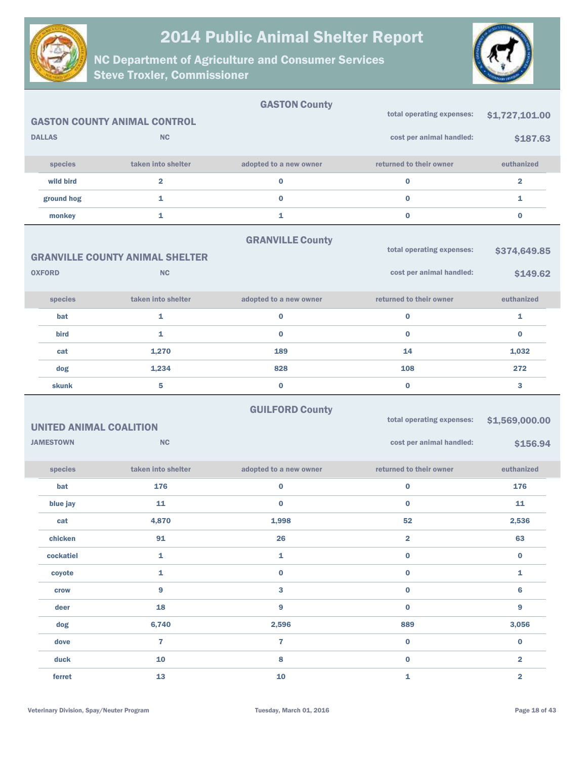



|                                |                                        | <b>GASTON County</b>    |                           |                         |
|--------------------------------|----------------------------------------|-------------------------|---------------------------|-------------------------|
|                                | <b>GASTON COUNTY ANIMAL CONTROL</b>    |                         | total operating expenses: | \$1,727,101.00          |
| <b>DALLAS</b>                  | <b>NC</b>                              |                         | cost per animal handled:  | \$187.63                |
| species                        | taken into shelter                     | adopted to a new owner  | returned to their owner   | euthanized              |
| wild bird                      | $\overline{\mathbf{2}}$                | $\bf{0}$                | $\bf{0}$                  | $\overline{2}$          |
| ground hog                     | 1                                      | $\bf{0}$                | $\bf{0}$                  | 1                       |
| monkey                         | 1                                      | $\mathbf{1}$            | $\bf{0}$                  | $\bf{0}$                |
|                                |                                        | <b>GRANVILLE County</b> |                           |                         |
|                                | <b>GRANVILLE COUNTY ANIMAL SHELTER</b> |                         | total operating expenses: | \$374,649.85            |
| <b>OXFORD</b>                  | <b>NC</b>                              |                         | cost per animal handled:  | \$149.62                |
| species                        | taken into shelter                     | adopted to a new owner  | returned to their owner   | euthanized              |
| bat                            | 1                                      | $\bf{0}$                | $\bf{0}$                  | 1                       |
| <b>bird</b>                    | 1                                      | $\bf{0}$                | $\bf{0}$                  | $\bf{0}$                |
| cat                            | 1,270                                  | 189                     | 14                        | 1,032                   |
| dog                            | 1,234                                  | 828                     | 108                       | 272                     |
| skunk                          | 5                                      | $\pmb{0}$               | $\bf{0}$                  | 3                       |
|                                |                                        |                         |                           |                         |
|                                |                                        | <b>GUILFORD County</b>  | total operating expenses: | \$1,569,000.00          |
| <b>UNITED ANIMAL COALITION</b> |                                        |                         |                           |                         |
| <b>JAMESTOWN</b>               | NC                                     |                         | cost per animal handled:  | \$156.94                |
| species                        | taken into shelter                     | adopted to a new owner  | returned to their owner   | euthanized              |
| bat                            | 176                                    | $\pmb{0}$               | $\bf{0}$                  | 176                     |
| blue jay                       | 11                                     | $\bf{0}$                | $\bf{0}$                  | 11                      |
| cat                            | 4,870                                  | 1,998                   | 52                        | 2,536                   |
| chicken                        | 91                                     | 26                      | 2                         | 63                      |
| cockatiel                      | 1                                      | $\mathbf 1$             | $\pmb{0}$                 | $\pmb{0}$               |
| coyote                         | 1                                      | $\mathbf 0$             | $\pmb{0}$                 | $\mathbf{1}$            |
| crow                           | $\overline{9}$                         | $\mathbf{3}$            | $\pmb{0}$                 | $6\phantom{1}$          |
| deer                           | 18                                     | $\boldsymbol{9}$        | $\pmb{0}$                 | 9                       |
| dog                            | 6,740                                  | 2,596                   | 889                       | 3,056                   |
| dove                           | $\overline{7}$                         | $\overline{\mathbf{7}}$ | $\pmb{0}$                 | $\mathbf 0$             |
| duck                           | 10                                     | 8                       | $\pmb{0}$                 | $\overline{\mathbf{2}}$ |
| ferret                         | 13                                     | 10                      | $\mathbf{1}$              | $\overline{\mathbf{2}}$ |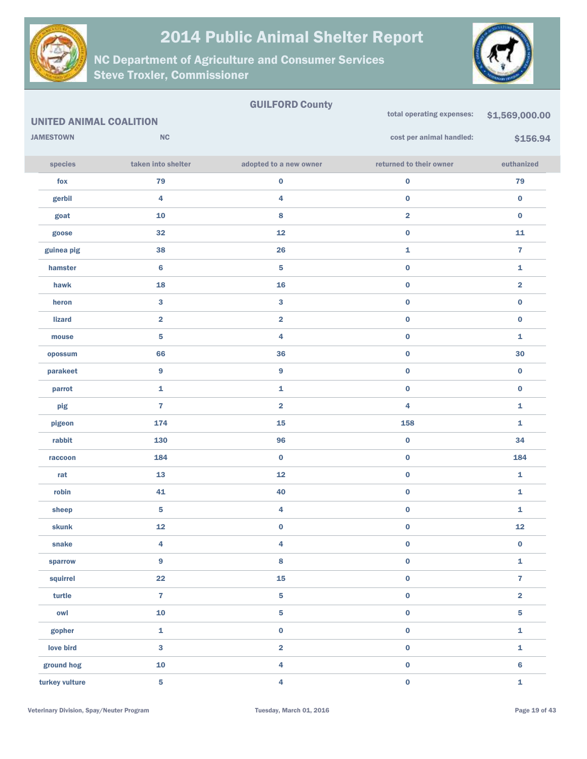

NC Department of Agriculture and Consumer Services Steve Troxler, Commissioner



#### GUILFORD County UNITED ANIMAL COALITION **JAMESTOWN NC** species taken into shelter adopted to a new owner returned to their owner euthanized total operating expenses: \$1,569,000.00 cost per animal handled: \$156.94 fox 79 0 0 79 gerbil 4 4 0 0 goat  $10$  and  $8$  and  $2$  and  $0$  and  $10$  and  $10$  and  $10$  and  $10$  and  $10$  and  $10$  and  $10$  and  $10$  and  $10$  and  $10$  and  $10$  and  $10$  and  $10$  and  $10$  and  $10$  and  $10$  and  $10$  and  $10$  and  $10$  and  $10$  and  $10$ goose  $32$  32  $12$   $12$   $0$   $11$ guinea pig  $\begin{array}{cccc} 38 & 38 \end{array}$ hamster and  $\begin{array}{ccc} 6 & 5 \end{array}$  , the contract of  $\begin{array}{ccc} 1 & 0 \end{array}$ hawk 18 16 0 2 heron 3 3 0 0 lizard 2 2 0 0 mouse  $\begin{array}{cccccccccccccc} & 5 & & & & 4 & & & & 0 & & & & 1 \end{array}$ opossum 66 36 0 30 parakeet 9 9 0 0 parrot the contract contract  $\bf 1$  and  $\bf 1$  and  $\bf 0$  and  $\bf 0$  and  $\bf 0$  and  $\bf 0$  $p$ ig and the set of  $\overline{a}$  and  $\overline{a}$  and  $\overline{a}$  and  $\overline{a}$  and  $\overline{a}$  and  $\overline{a}$  and  $\overline{a}$  and  $\overline{a}$  and  $\overline{a}$  and  $\overline{a}$  and  $\overline{a}$  and  $\overline{a}$  and  $\overline{a}$  and  $\overline{a}$  and  $\overline{a}$  and  $\overline{$ pigeon 174 15 158 1 rabbit 130 96 0 34 raccoon and  $184$  and  $0$  and  $184$  and  $0$  and  $184$  and  $0$  and  $184$  and  $0$  and  $184$ rat 13 13 12 0 1 robin and  $41$  and  $40$  and  $40$  and  $40$  and  $40$  and  $41$  and  $40$  and  $41$  and  $40$  and  $41$  and  $40$  and  $41$  and  $40$  and  $41$  and  $40$  and  $40$  and  $40$  and  $40$  and  $40$  and  $40$  and  $40$  and  $40$  and  $40$  and  $40$ sheep  $\begin{array}{cccccccccccccc} &5& & & & &4& & & &0& & &0& &\dots\end{array}$ skunk 12 0 0 12 snake  $\begin{array}{cccccccccccccc} & 4 & & & & 4 & & & & 0 & & & & 0 \end{array}$ sparrow 9 8 0 1 squirrel  $22$   $15$   $0$   $7$ turtle 7 5 0 2 owl 10 5 0 5 gopher that is not more than  $\begin{array}{ccc} 1 & 0 & 0 & 0 \end{array}$ love bird  $\begin{array}{cccc} 3 & 2 & 0 & 1 \end{array}$ ground hog  $\begin{array}{cccc} 10 & 4 & 0 \end{array}$ turkey vulture 5 4 0 1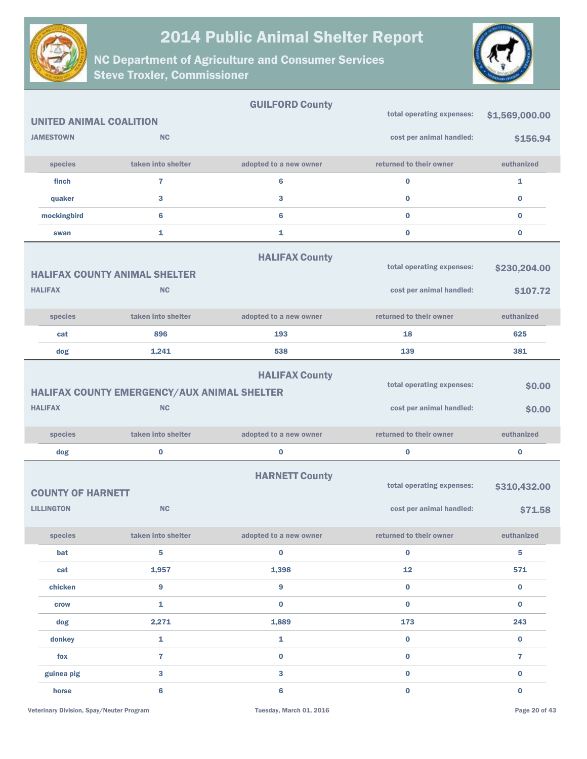

 $\overline{\phantom{a}}$ 



|                                               |                                             | <b>GUILFURD COUNTY</b> |                                                       |                         |
|-----------------------------------------------|---------------------------------------------|------------------------|-------------------------------------------------------|-------------------------|
| <b>UNITED ANIMAL COALITION</b>                |                                             |                        | total operating expenses:                             | \$1,569,000.00          |
| <b>JAMESTOWN</b>                              | <b>NC</b>                                   |                        | cost per animal handled:                              | \$156.94                |
| species                                       | taken into shelter                          | adopted to a new owner | returned to their owner                               | euthanized              |
| finch                                         | $\overline{7}$                              | 6                      | $\bf{0}$                                              | 1                       |
| quaker                                        | 3                                           | 3                      | $\bf{0}$                                              | $\bf{0}$                |
| mockingbird                                   | 6                                           | 6                      | $\bf{0}$                                              | $\bf{0}$                |
| swan                                          | 1                                           | 1                      | $\bf{0}$                                              | $\bf{0}$                |
|                                               | <b>HALIFAX COUNTY ANIMAL SHELTER</b>        | <b>HALIFAX County</b>  | total operating expenses:                             | \$230,204.00            |
| <b>HALIFAX</b>                                | <b>NC</b>                                   |                        | cost per animal handled:                              | \$107.72                |
| species                                       | taken into shelter                          | adopted to a new owner | returned to their owner                               | euthanized              |
| cat                                           | 896                                         | 193                    | 18                                                    | 625                     |
| dog                                           | 1,241                                       | 538                    | 139                                                   | 381                     |
|                                               | HALIFAX COUNTY EMERGENCY/AUX ANIMAL SHELTER | <b>HALIFAX County</b>  | total operating expenses:                             | \$0.00                  |
| <b>HALIFAX</b>                                | <b>NC</b>                                   |                        | cost per animal handled:                              | \$0.00                  |
| species                                       | taken into shelter                          | adopted to a new owner | returned to their owner                               | euthanized              |
| dog                                           | $\bf{0}$                                    | 0                      | $\bf{0}$                                              | $\bf{0}$                |
| <b>COUNTY OF HARNETT</b><br><b>LILLINGTON</b> | <b>NC</b>                                   | <b>HARNETT County</b>  | total operating expenses:<br>cost per animal handled: | \$310,432.00<br>\$71.58 |
| species                                       | taken into shelter                          | adopted to a new owner | returned to their owner                               | euthanized              |
| bat                                           | 5                                           | $\bf{0}$               | $\mathbf 0$                                           | $\overline{\mathbf{5}}$ |
| cat                                           | 1,957                                       | 1,398                  | 12                                                    | 571                     |
| chicken                                       | 9                                           | 9                      | $\mathbf 0$                                           | $\mathbf 0$             |
| crow                                          | 1                                           | $\bf{0}$               | $\mathbf 0$                                           | $\mathbf{0}$            |
| dog                                           | 2,271                                       | 1,889                  | 173                                                   | 243                     |
| donkey                                        | $\mathbf{1}$                                | $\mathbf{1}$           | $\mathbf 0$                                           | $\bf{0}$                |
| fox                                           | $\overline{7}$                              | $\bf{0}$               | $\mathbf 0$                                           | $\overline{7}$          |
| guinea pig                                    | 3                                           | 3                      | $\bf{0}$                                              | $\bf{0}$                |
| horse                                         | 6                                           | 6                      | $\mathbf 0$                                           | $\bf{0}$                |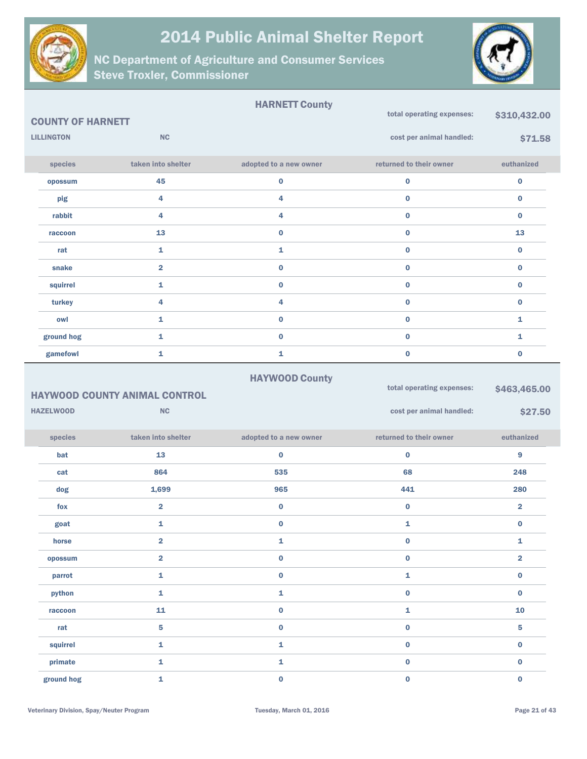

NC Department of Agriculture and Consumer Services Steve Troxler, Commissioner



|                          |                    | <b>HARNETT County</b>  |                           |              |
|--------------------------|--------------------|------------------------|---------------------------|--------------|
| <b>COUNTY OF HARNETT</b> |                    |                        | total operating expenses: | \$310,432.00 |
| <b>LILLINGTON</b>        | <b>NC</b>          |                        | cost per animal handled:  | \$71.58      |
| species                  | taken into shelter | adopted to a new owner | returned to their owner   | euthanized   |
| opossum                  | 45                 | $\bf{0}$               | 0                         | $\bf{0}$     |
| pig                      | 4                  | 4                      | $\bf{0}$                  | $\bf{0}$     |
| rabbit                   | 4                  | 4                      | $\bf{0}$                  | $\bf{0}$     |
| raccoon                  | 13                 | $\bf{0}$               | $\bf{0}$                  | 13           |
| rat                      | 1                  | 1                      | $\bf{0}$                  | $\bf{0}$     |
| snake                    | $\overline{2}$     | $\bf{0}$               | $\bf{0}$                  | $\bf{0}$     |
| squirrel                 | 1                  | $\bf{0}$               | 0                         | $\bf{0}$     |
| turkey                   | 4                  | 4                      | $\bf{0}$                  | $\bf{0}$     |
| owl                      | 1                  | $\bf{0}$               | 0                         | 1            |
| ground hog               | 1                  | $\bf{0}$               | $\bf{0}$                  | 1            |
| gamefowl                 | 1                  | 1                      | $\bf{0}$                  | $\bf{0}$     |

#### HAYWOOD County

| total operating expenses:<br>\$463,465.00<br><b>HAYWOOD COUNTY ANIMAL CONTROL</b> |                         |                        |                          |                         |  |  |
|-----------------------------------------------------------------------------------|-------------------------|------------------------|--------------------------|-------------------------|--|--|
| <b>HAZELWOOD</b>                                                                  | <b>NC</b>               |                        | cost per animal handled: | \$27.50                 |  |  |
| species                                                                           | taken into shelter      | adopted to a new owner | returned to their owner  | euthanized              |  |  |
| bat                                                                               | 13                      | $\bf{0}$               | $\mathbf 0$              | 9                       |  |  |
| cat                                                                               | 864                     | 535                    | 68                       | 248                     |  |  |
| dog                                                                               | 1,699                   | 965                    | 441                      | 280                     |  |  |
| fox                                                                               | $\overline{\mathbf{2}}$ | $\bf{0}$               | $\bf{0}$                 | $\overline{\mathbf{2}}$ |  |  |
| goat                                                                              | $\mathbf{1}$            | $\bf{0}$               | $\mathbf{1}$             | 0                       |  |  |
| horse                                                                             | $\overline{\mathbf{2}}$ | $\mathbf{1}$           | $\bf{0}$                 | 1                       |  |  |
| opossum                                                                           | $\overline{\mathbf{2}}$ | $\bf{0}$               | $\mathbf 0$              | $\overline{\mathbf{2}}$ |  |  |
| parrot                                                                            | $\mathbf{1}$            | $\bf{0}$               | $\mathbf{1}$             | $\bf{0}$                |  |  |
| python                                                                            | $\mathbf{1}$            | 1                      | $\bf{0}$                 | $\bf{0}$                |  |  |
| raccoon                                                                           | 11                      | $\bf{0}$               | 1                        | 10                      |  |  |
| rat                                                                               | 5                       | $\bf{0}$               | $\mathbf{0}$             | 5                       |  |  |
| squirrel                                                                          | $\mathbf{1}$            | 1                      | $\bf{0}$                 | $\mathbf 0$             |  |  |
| primate                                                                           | $\mathbf{1}$            | $\mathbf{1}$           | $\bf{0}$                 | $\bf{0}$                |  |  |
| ground hog                                                                        | 1                       | $\bf{0}$               | $\bf{0}$                 | $\bf{0}$                |  |  |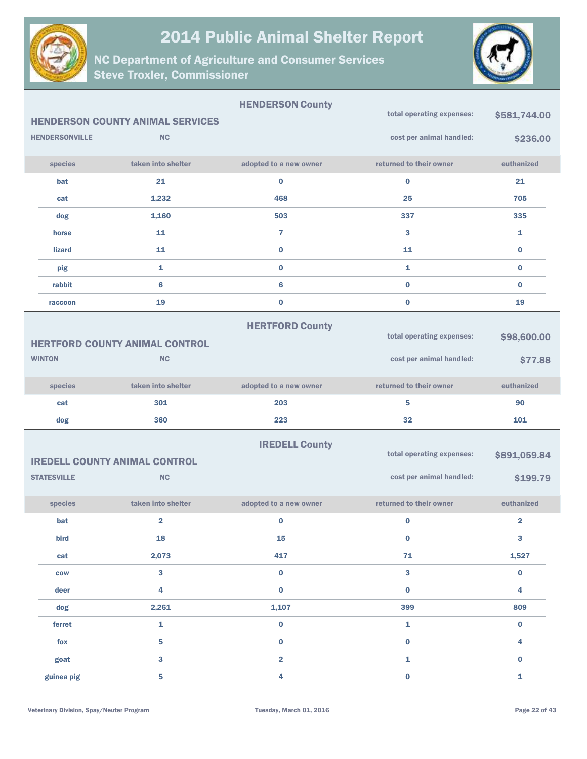



|                       |                                         | <b>HENDERSON County</b>      | total operating expenses: |                         |
|-----------------------|-----------------------------------------|------------------------------|---------------------------|-------------------------|
|                       | <b>HENDERSON COUNTY ANIMAL SERVICES</b> |                              |                           | \$581,744.00            |
| <b>HENDERSONVILLE</b> | <b>NC</b>                               |                              | cost per animal handled:  | \$236.00                |
| species               | taken into shelter                      | adopted to a new owner       | returned to their owner   | euthanized              |
| bat                   | 21                                      | $\bf{0}$                     | $\bf{0}$                  | 21                      |
| cat                   | 1,232                                   | 468                          | 25                        | 705                     |
| dog                   | 1,160                                   | 503                          | 337                       | 335                     |
| horse                 | 11                                      | $\overline{7}$               | 3                         | 1                       |
| <b>lizard</b>         | 11                                      | $\mathbf 0$                  | 11                        | $\bf{0}$                |
| pig                   | $\mathbf{1}$                            | $\mathbf 0$                  | 1                         | $\bf{0}$                |
| rabbit                | $6\phantom{1}6$                         | 6                            | $\bf{0}$                  | $\bf{0}$                |
| raccoon               | 19                                      | 0                            | $\bf{0}$                  | 19                      |
|                       |                                         | <b>HERTFORD County</b>       |                           |                         |
|                       | <b>HERTFORD COUNTY ANIMAL CONTROL</b>   |                              | total operating expenses: | \$98,600.00             |
| <b>WINTON</b>         | <b>NC</b>                               |                              | cost per animal handled:  | \$77.88                 |
|                       |                                         |                              |                           |                         |
| species               | taken into shelter                      | adopted to a new owner       | returned to their owner   | euthanized              |
| cat                   | 301                                     | 203                          | 5                         | 90                      |
| dog                   | 360                                     | 223                          | 32                        | 101                     |
|                       |                                         | <b>IREDELL County</b>        |                           |                         |
|                       | <b>IREDELL COUNTY ANIMAL CONTROL</b>    |                              | total operating expenses: | \$891,059.84            |
| <b>STATESVILLE</b>    | <b>NC</b>                               |                              | cost per animal handled:  | \$199.79                |
| species               | taken into shelter                      | adopted to a new owner       | returned to their owner   | euthanized              |
| bat                   |                                         |                              |                           |                         |
|                       |                                         |                              |                           |                         |
|                       | $\overline{2}$                          | 0                            | $\bf{0}$                  | $\overline{\mathbf{2}}$ |
| bird                  | 18                                      | 15                           | $\bf{0}$                  | 3                       |
| cat                   | 2,073                                   | 417                          | $71$                      | 1,527                   |
| <b>COW</b>            | 3                                       | 0                            | 3                         | $\mathbf 0$             |
| deer                  | 4                                       | $\mathbf 0$                  | $\bf{0}$                  | 4                       |
| dog                   | 2,261                                   | 1,107                        | 399                       | 809                     |
| ferret                | $\mathbf{1}$                            | 0                            | $\mathbf{1}$              | $\bf{0}$                |
| fox<br>goat           | 5<br>3                                  | 0<br>$\overline{\mathbf{2}}$ | $\mathbf 0$<br>1          | 4<br>$\bf{0}$           |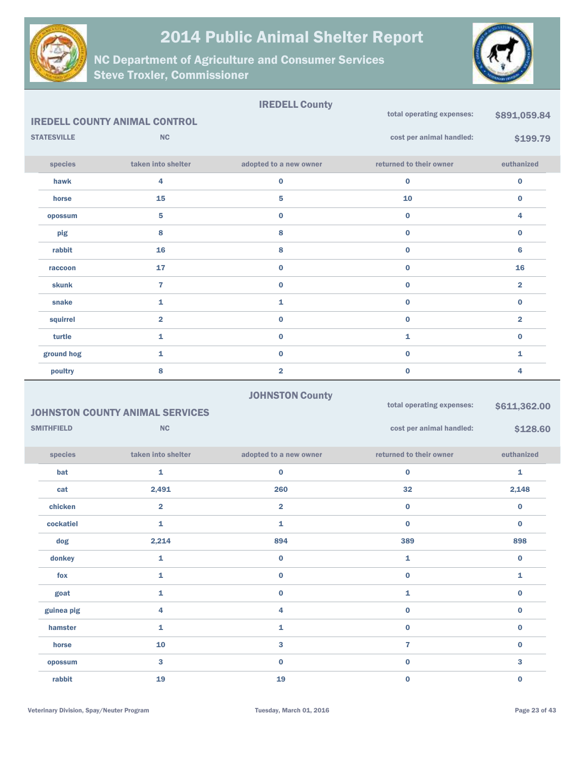



|                    |                                        | <b>IREDELL County</b>   |                           |                         |
|--------------------|----------------------------------------|-------------------------|---------------------------|-------------------------|
|                    | <b>IREDELL COUNTY ANIMAL CONTROL</b>   |                         | total operating expenses: | \$891,059.84            |
| <b>STATESVILLE</b> | <b>NC</b>                              |                         | cost per animal handled:  | \$199.79                |
|                    |                                        |                         |                           |                         |
| species            | taken into shelter                     | adopted to a new owner  | returned to their owner   | euthanized              |
| hawk               | 4                                      | $\bf{0}$                | $\bf{0}$                  | $\bf{0}$                |
| horse              | 15                                     | 5                       | 10                        | $\bf{0}$                |
| opossum            | 5                                      | $\bf{0}$                | $\bf{0}$                  | 4                       |
| pig                | 8                                      | 8                       | $\bf{0}$                  | $\bf{0}$                |
| rabbit             | 16                                     | 8                       | $\bf{0}$                  | 6                       |
| raccoon            | 17                                     | $\bf{0}$                | $\bf{0}$                  | 16                      |
| <b>skunk</b>       | 7                                      | $\bf{0}$                | $\bf{0}$                  | $\overline{\mathbf{2}}$ |
| snake              | 1                                      | 1                       | $\bf{0}$                  | $\bf{0}$                |
| squirrel           | $\overline{\mathbf{2}}$                | $\bf{0}$                | $\bf{0}$                  | $\overline{\mathbf{2}}$ |
| turtle             | 1                                      | $\bf{0}$                | 1                         | $\bf{0}$                |
| ground hog         | 1                                      | $\bf{0}$                | $\bf{0}$                  | 1                       |
| poultry            | 8                                      | $\overline{\mathbf{2}}$ | $\bf{0}$                  | 4                       |
|                    |                                        | <b>JOHNSTON County</b>  |                           |                         |
|                    | <b>JOHNSTON COUNTY ANIMAL SERVICES</b> |                         | total operating expenses: | \$611,362.00            |

|                   | <b>JOHNSTON COUNTY ANIMAL SERVICES</b> |                         | . . ________ . _ .       |            |
|-------------------|----------------------------------------|-------------------------|--------------------------|------------|
| <b>SMITHFIELD</b> | NC                                     |                         | cost per animal handled: | \$128.60   |
| species           | taken into shelter                     | adopted to a new owner  | returned to their owner  | euthanized |
| bat               | 1                                      | $\bf{0}$                | $\bf{0}$                 | 1          |
| cat               | 2,491                                  | 260                     | 32                       | 2,148      |
| chicken           | $\overline{\mathbf{2}}$                | $\overline{\mathbf{2}}$ | $\bf{0}$                 | $\bf{0}$   |
| cockatiel         | 1                                      | 1                       | $\bf{0}$                 | $\bf{0}$   |
| dog               | 2,214                                  | 894                     | 389                      | 898        |
| donkey            | 1                                      | $\bf{0}$                | 1                        | $\bf{0}$   |
| fox               | 1                                      | $\bf{0}$                | $\bf{0}$                 | 1          |
| goat              | 1                                      | 0                       | 1                        | $\bf{0}$   |
| guinea pig        | 4                                      | 4                       | $\bf{0}$                 | $\bf{0}$   |
| hamster           | 1                                      | 1                       | 0                        | $\bf{0}$   |
| horse             | 10                                     | 3                       | 7                        | $\bf{0}$   |
| opossum           | 3                                      | $\bf{0}$                | $\bf{0}$                 | 3          |
| rabbit            | 19                                     | 19                      | 0                        | $\bf{0}$   |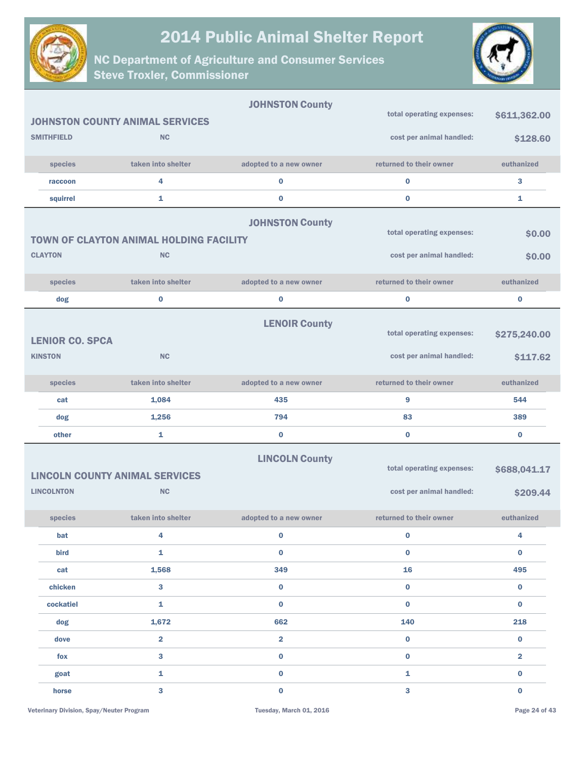



|                        |                                                | <b>JOHNSTON County</b>  |                           |                         |
|------------------------|------------------------------------------------|-------------------------|---------------------------|-------------------------|
|                        | <b>JOHNSTON COUNTY ANIMAL SERVICES</b>         |                         | total operating expenses: | \$611,362.00            |
| <b>SMITHFIELD</b>      | <b>NC</b>                                      |                         | cost per animal handled:  | \$128.60                |
| species                | taken into shelter                             | adopted to a new owner  | returned to their owner   | euthanized              |
| raccoon                | 4                                              | $\bf{0}$                | $\bf{0}$                  | 3                       |
| squirrel               | 1                                              | $\bf{0}$                | $\bf{0}$                  | 1                       |
|                        |                                                | <b>JOHNSTON County</b>  |                           |                         |
|                        | <b>TOWN OF CLAYTON ANIMAL HOLDING FACILITY</b> |                         | total operating expenses: | \$0.00                  |
| <b>CLAYTON</b>         | <b>NC</b>                                      |                         | cost per animal handled:  | \$0.00                  |
|                        |                                                |                         |                           |                         |
| species                | taken into shelter                             | adopted to a new owner  | returned to their owner   | euthanized              |
| dog                    | $\bf{0}$                                       | $\bf{0}$                | $\bf{0}$                  | $\bf{0}$                |
|                        |                                                | <b>LENOIR County</b>    |                           |                         |
| <b>LENIOR CO. SPCA</b> |                                                |                         | total operating expenses: | \$275,240.00            |
| <b>KINSTON</b>         | <b>NC</b>                                      |                         | cost per animal handled:  | \$117.62                |
| species                | taken into shelter                             | adopted to a new owner  | returned to their owner   | euthanized              |
| cat                    | 1,084                                          | 435                     | 9                         | 544                     |
| dog                    | 1,256                                          | 794                     | 83                        | 389                     |
| other                  | 1                                              | $\bf{0}$                | $\bf{0}$                  | $\bf{0}$                |
|                        |                                                | <b>LINCOLN County</b>   |                           |                         |
|                        | <b>LINCOLN COUNTY ANIMAL SERVICES</b>          |                         | total operating expenses: | \$688,041.17            |
| <b>LINCOLNTON</b>      | <b>NC</b>                                      |                         | cost per animal handled:  | \$209.44                |
|                        |                                                |                         |                           |                         |
| species                | taken into shelter                             | adopted to a new owner  | returned to their owner   | euthanized              |
| bat                    | 4                                              | $\bf{0}$                | $\mathbf 0$               | 4                       |
| bird                   | $\mathbf{1}$                                   | $\mathbf 0$             | $\mathbf 0$               | $\mathbf 0$             |
| cat                    | 1,568                                          | 349                     | 16                        | 495                     |
| chicken                | $\mathbf{3}$                                   | $\mathbf 0$             | $\bf{0}$                  | $\mathbf 0$             |
| cockatiel              | $\mathbf 1$                                    | $\mathbf 0$             | $\mathbf 0$               | $\mathbf 0$             |
| dog                    | 1,672                                          | 662                     | 140                       | 218                     |
| dove                   | $\overline{\mathbf{2}}$                        | $\overline{\mathbf{2}}$ | $\mathbf 0$               | $\mathbf 0$             |
| fox                    | $\mathbf{3}$                                   | $\mathbf 0$             | $\mathbf 0$               | $\overline{\mathbf{2}}$ |
| goat                   | $\mathbf{1}$                                   | $\mathbf 0$             | $\mathbf{1}$              | $\pmb{0}$               |
| horse                  | $\overline{3}$                                 | $\mathbf 0$             | $\mathbf{3}$              | $\mathbf 0$             |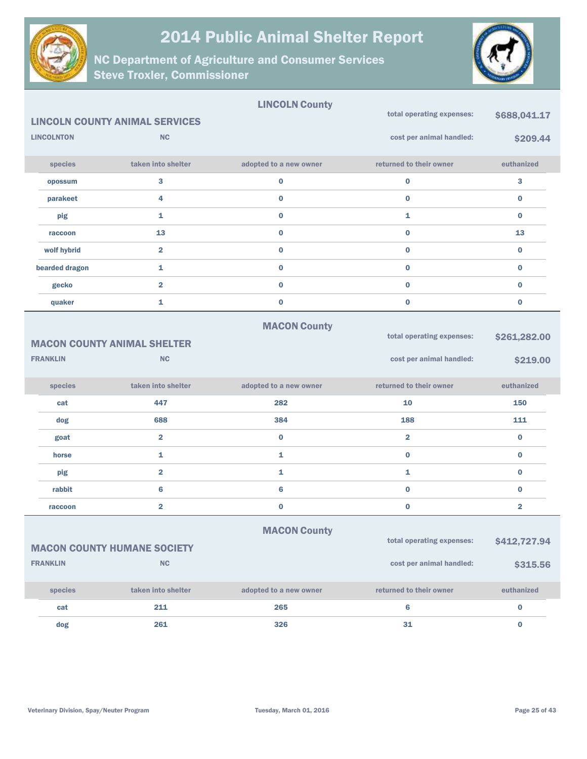



|                   |                                          | <b>LINCOLN County</b>  | total operating expenses: |                         |
|-------------------|------------------------------------------|------------------------|---------------------------|-------------------------|
|                   | <b>LINCOLN COUNTY ANIMAL SERVICES</b>    |                        |                           | \$688,041.17            |
| <b>LINCOLNTON</b> | <b>NC</b>                                |                        | cost per animal handled:  | \$209.44                |
| species           | taken into shelter                       | adopted to a new owner | returned to their owner   | euthanized              |
| opossum           | 3                                        | $\bf{0}$               | $\pmb{0}$                 | 3                       |
| parakeet          | 4                                        | $\bf{0}$               | $\bf{0}$                  | 0                       |
| pig               | 1                                        | $\bf{0}$               | $\mathbf{1}$              | $\bf{0}$                |
| raccoon           | 13                                       | $\bf{0}$               | $\bf{0}$                  | 13                      |
| wolf hybrid       | $\overline{\mathbf{2}}$                  | $\bf{0}$               | $\bf{0}$                  | $\bf{0}$                |
| bearded dragon    | 1                                        | $\bf{0}$               | $\bf{0}$                  | 0                       |
| gecko             | $\overline{2}$                           | $\bf{0}$               | $\bf{0}$                  | $\bf{0}$                |
| quaker            | 1                                        | $\bf{0}$               | $\bf{0}$                  | 0                       |
|                   |                                          | <b>MACON County</b>    |                           |                         |
|                   | <b>MACON COUNTY ANIMAL SHELTER</b>       |                        | total operating expenses: | \$261,282.00            |
| <b>FRANKLIN</b>   | <b>NC</b>                                |                        | cost per animal handled:  | \$219.00                |
|                   |                                          |                        |                           |                         |
|                   |                                          |                        |                           |                         |
| species           | taken into shelter                       | adopted to a new owner | returned to their owner   | euthanized              |
| cat               | 447                                      | 282                    | 10                        | 150                     |
| dog               | 688                                      | 384                    | 188                       | 111                     |
| goat              | $\overline{\mathbf{2}}$                  | $\bf{0}$               | $\overline{2}$            | 0                       |
| horse             | 1                                        | 1                      | $\bf{0}$                  | $\bf{0}$                |
| pig               | $\overline{\mathbf{2}}$                  | 1                      | $\mathbf{1}$              | 0                       |
| rabbit            | 6                                        | 6                      | $\bf{0}$                  | $\bf{0}$                |
| raccoon           | $\overline{\mathbf{2}}$                  | $\bf{0}$               | $\bf{0}$                  | $\overline{\mathbf{2}}$ |
|                   |                                          |                        |                           |                         |
|                   |                                          | <b>MACON County</b>    | total operating expenses: | \$412,727.94            |
| <b>FRANKLIN</b>   | <b>MACON COUNTY HUMANE SOCIETY</b><br>NC |                        | cost per animal handled:  | \$315.56                |
| species           | taken into shelter                       | adopted to a new owner | returned to their owner   | euthanized              |
| cat               | 211                                      | 265                    | $\bf 6$                   | $\pmb{0}$               |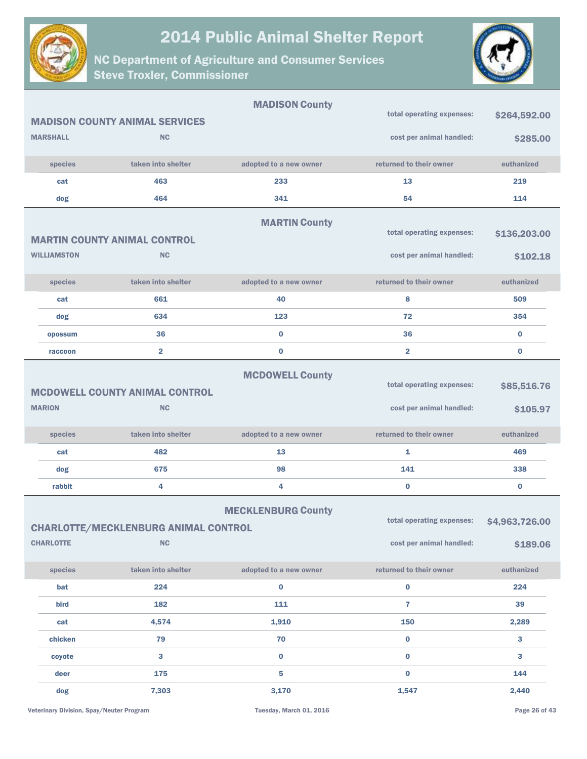



|                    |                                                          | <b>MADISON County</b>     |                                                       |                            |
|--------------------|----------------------------------------------------------|---------------------------|-------------------------------------------------------|----------------------------|
|                    | <b>MADISON COUNTY ANIMAL SERVICES</b>                    |                           | total operating expenses:                             | \$264,592.00               |
| <b>MARSHALL</b>    | <b>NC</b>                                                |                           | cost per animal handled:                              | \$285.00                   |
| species            | taken into shelter                                       | adopted to a new owner    | returned to their owner                               | euthanized                 |
| cat                | 463                                                      | 233                       | 13                                                    | 219                        |
| dog                | 464                                                      | 341                       | 54                                                    | 114                        |
|                    | <b>MARTIN COUNTY ANIMAL CONTROL</b>                      | <b>MARTIN County</b>      | total operating expenses:                             | \$136,203.00               |
| <b>WILLIAMSTON</b> | <b>NC</b>                                                |                           | cost per animal handled:                              | \$102.18                   |
| species            | taken into shelter                                       | adopted to a new owner    | returned to their owner                               | euthanized                 |
| cat                | 661                                                      | 40                        | 8                                                     | 509                        |
| dog                | 634                                                      | 123                       | 72                                                    | 354                        |
| opossum            | 36                                                       | $\bf{0}$                  | 36                                                    | $\bf{0}$                   |
| raccoon            | $\overline{\mathbf{2}}$                                  | $\bf{0}$                  | $\overline{2}$                                        | $\bf{0}$                   |
| <b>MARION</b>      | <b>MCDOWELL COUNTY ANIMAL CONTROL</b><br><b>NC</b>       | <b>MCDOWELL County</b>    | total operating expenses:<br>cost per animal handled: | \$85,516.76<br>\$105.97    |
| species            | taken into shelter                                       | adopted to a new owner    | returned to their owner                               | euthanized                 |
| cat                | 482                                                      | 13                        | 1                                                     | 469                        |
| dog                | 675                                                      | 98                        | 141                                                   | 338                        |
| rabbit             | 4                                                        | 4                         | $\bf{0}$                                              | $\bf{0}$                   |
| <b>CHARLOTTE</b>   | <b>CHARLOTTE/MECKLENBURG ANIMAL CONTROL</b><br><b>NC</b> | <b>MECKLENBURG County</b> | total operating expenses:<br>cost per animal handled: | \$4,963,726.00<br>\$189.06 |
| species            | taken into shelter                                       | adopted to a new owner    | returned to their owner                               | euthanized                 |
| bat                | 224                                                      | $\bf{0}$                  | $\bf{0}$                                              | 224                        |
| bird               | 182                                                      | 111                       | $\overline{7}$                                        | 39                         |
| cat                | 4,574                                                    | 1,910                     | 150                                                   | 2,289                      |
| chicken            | 79                                                       | 70                        | $\bf{0}$                                              | 3                          |
| coyote             | 3                                                        | $\mathbf 0$               | $\bf{0}$                                              | 3                          |
| deer               | 175                                                      | 5                         | $\bf{0}$                                              | 144                        |
| dog                | 7,303                                                    | 3,170                     | 1,547                                                 | 2,440                      |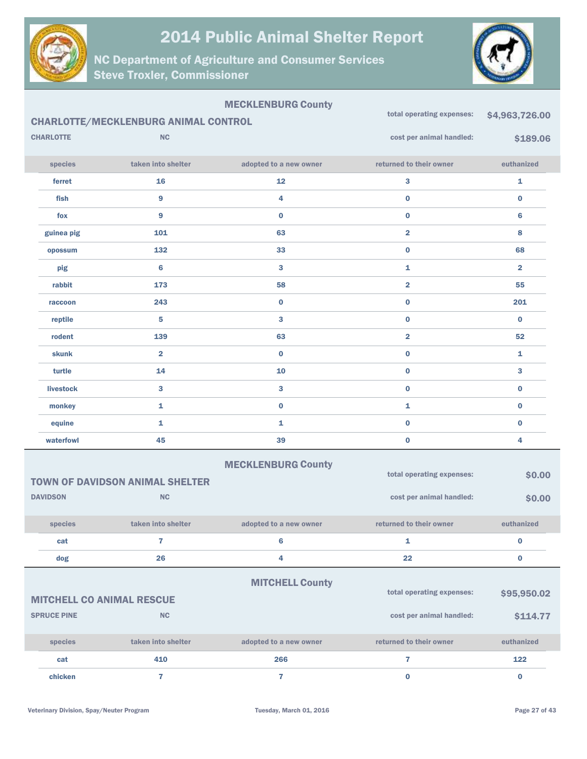

NC Department of Agriculture and Consumer Services Steve Troxler, Commissioner



#### MECKLENBURG County

|                  | <b>CHARLOTTE/MECKLENBURG ANIMAL CONTROL</b> | total operating expenses: | \$4,963,726.00            |                         |
|------------------|---------------------------------------------|---------------------------|---------------------------|-------------------------|
| <b>CHARLOTTE</b> | <b>NC</b>                                   |                           | cost per animal handled:  | \$189.06                |
| species          | taken into shelter                          | adopted to a new owner    | returned to their owner   | euthanized              |
| ferret           | 16                                          | 12                        | 3                         | 1                       |
| fish             | $\overline{9}$                              | 4                         | $\pmb{0}$                 | $\pmb{0}$               |
| fox              | 9                                           | $\bf{0}$                  | $\pmb{0}$                 | $6\phantom{1}$          |
| guinea pig       | 101                                         | 63                        | $\overline{\mathbf{2}}$   | 8                       |
| opossum          | 132                                         | 33                        | $\pmb{0}$                 | 68                      |
| pig              | $\bf 6$                                     | $\mathbf{3}$              | $\mathbf{1}$              | $\overline{\mathbf{2}}$ |
| rabbit           | 173                                         | 58                        | $\overline{\mathbf{2}}$   | 55                      |
| raccoon          | 243                                         | $\bf{0}$                  | $\bf{0}$                  | 201                     |
| reptile          | 5                                           | $\mathbf{3}$              | $\pmb{0}$                 | $\bf{0}$                |
| rodent           | 139                                         | 63                        | $\overline{2}$            | 52                      |
| <b>skunk</b>     | $\overline{2}$                              | $\bf{0}$                  | $\pmb{0}$                 | $\mathbf{1}$            |
| turtle           | 14                                          | 10                        | $\pmb{0}$                 | 3                       |
| <b>livestock</b> | 3                                           | $\overline{3}$            | $\mathbf 0$               | $\bf{0}$                |
| monkey           | $\mathbf{1}$                                | $\bf{0}$                  | $\mathbf{1}$              | $\bf{0}$                |
| equine           | $\mathbf{1}$                                | $\bar{\mathbf{1}}$        | $\pmb{0}$                 | $\pmb{0}$               |
| waterfowl        | 45                                          | 39                        | $\bf{0}$                  | 4                       |
|                  |                                             | <b>MECKLENBURG County</b> | total operating expenses: | \$0.00                  |
|                  | <b>TOWN OF DAVIDSON ANIMAL SHELTER</b>      |                           |                           |                         |
| <b>DAVIDSON</b>  | NC                                          |                           | cost per animal handled:  | \$0.00                  |
| species          | taken into shelter                          | adopted to a new owner    | returned to their owner   | euthanized              |
| cat              | $\overline{7}$                              | $\bf 6$                   | $\mathbf{1}$              | $\bf{0}$                |
| dog              | 26                                          | 4                         | 22                        | $\bf{0}$                |
|                  |                                             | <b>MITCHELL County</b>    | total operating expenses: | \$95,950.02             |

| <b>MITCHELL CO ANIMAL RESCUE</b> |                    |                        | total operating expenses: | \$95,950.02 |  |
|----------------------------------|--------------------|------------------------|---------------------------|-------------|--|
| <b>SPRUCE PINE</b><br><b>NC</b>  |                    |                        | cost per animal handled:  | \$114.77    |  |
| <b>species</b>                   | taken into shelter | adopted to a new owner | returned to their owner   | euthanized  |  |
| cat                              | 410                | 266                    |                           | 122         |  |
| chicken                          |                    |                        |                           |             |  |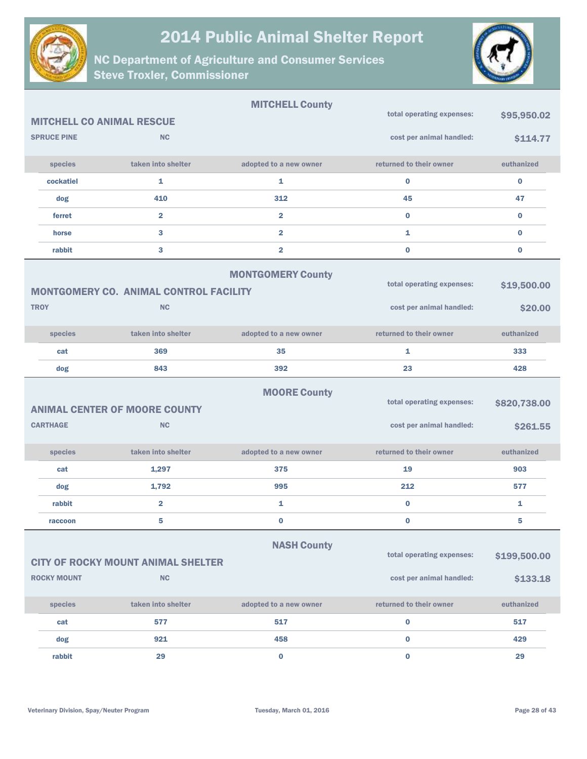



|                                                                                                              |                                                            | <b>MITCHELL County</b>   |                                                       |                          |
|--------------------------------------------------------------------------------------------------------------|------------------------------------------------------------|--------------------------|-------------------------------------------------------|--------------------------|
| <b>MITCHELL CO ANIMAL RESCUE</b>                                                                             |                                                            |                          | total operating expenses:                             | \$95,950.02              |
| <b>SPRUCE PINE</b>                                                                                           | <b>NC</b>                                                  |                          | cost per animal handled:                              | \$114.77                 |
| species                                                                                                      | taken into shelter                                         | adopted to a new owner   | returned to their owner                               | euthanized               |
| cockatiel                                                                                                    | 1                                                          | 1                        | $\bf{0}$                                              | $\bf{0}$                 |
| dog                                                                                                          | 410                                                        | 312                      | 45                                                    | 47                       |
| ferret                                                                                                       | $\overline{2}$                                             | $\overline{2}$           | $\bf{0}$                                              | $\bf{0}$                 |
| horse                                                                                                        | 3                                                          | $\overline{\mathbf{2}}$  | 1                                                     | $\bf{0}$                 |
| rabbit                                                                                                       | 3                                                          | $\overline{2}$           | $\bf{0}$                                              | $\bf{0}$                 |
| <b>TROY</b>                                                                                                  | <b>MONTGOMERY CO. ANIMAL CONTROL FACILITY</b><br><b>NC</b> | <b>MONTGOMERY County</b> | total operating expenses:<br>cost per animal handled: | \$19,500.00<br>\$20.00   |
|                                                                                                              |                                                            |                          |                                                       |                          |
| species                                                                                                      | taken into shelter                                         | adopted to a new owner   | returned to their owner                               | euthanized               |
| cat                                                                                                          | 369                                                        | 35                       | 1                                                     | 333                      |
| dog                                                                                                          | 843                                                        | 392                      | 23                                                    | 428                      |
| <b>CARTHAGE</b>                                                                                              | <b>ANIMAL CENTER OF MOORE COUNTY</b><br><b>NC</b>          | <b>MOORE County</b>      | total operating expenses:<br>cost per animal handled: | \$820,738.00<br>\$261.55 |
|                                                                                                              |                                                            |                          |                                                       |                          |
| species                                                                                                      | taken into shelter                                         | adopted to a new owner   | returned to their owner                               | euthanized               |
| cat                                                                                                          | 1,297                                                      | 375                      | 19                                                    | 903                      |
| dog                                                                                                          | 1,792                                                      | 995                      | 212                                                   | 577                      |
| rabbit                                                                                                       | $\overline{\mathbf{2}}$                                    | 1                        | $\bf{0}$                                              | 1                        |
| raccoon                                                                                                      | 5                                                          | $\pmb{0}$                | $\bf{0}$                                              | 5                        |
| <b>NASH County</b><br>total operating expenses:<br>\$199,500.00<br><b>CITY OF ROCKY MOUNT ANIMAL SHELTER</b> |                                                            |                          |                                                       |                          |
| <b>ROCKY MOUNT</b>                                                                                           | <b>NC</b>                                                  |                          | cost per animal handled:                              | \$133.18                 |
| species                                                                                                      | taken into shelter                                         | adopted to a new owner   | returned to their owner                               | euthanized               |
| cat                                                                                                          | 577                                                        | 517                      | $\bf{0}$                                              | 517                      |
| dog                                                                                                          | 921                                                        | 458                      | $\bf{0}$                                              | 429                      |
| rabbit                                                                                                       | 29                                                         | $\bf{0}$                 | $\bf{0}$                                              | 29                       |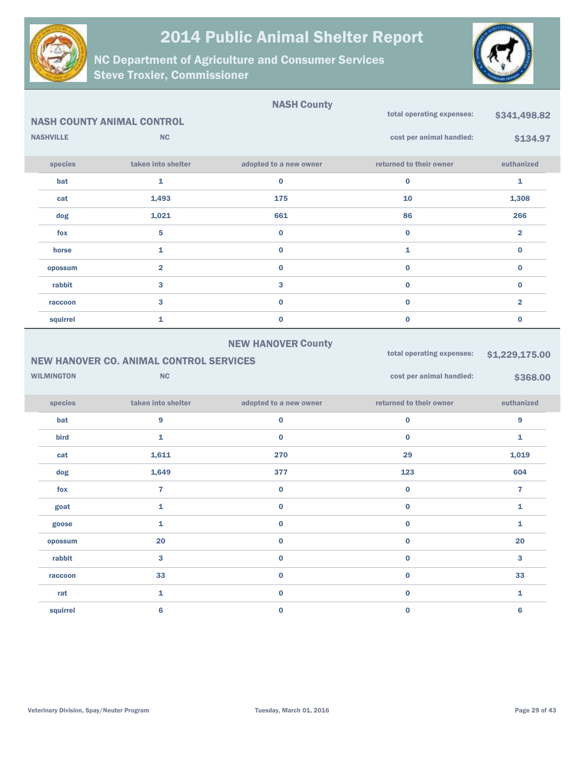



|                   | <b>NASH COUNTY ANIMAL CONTROL</b>                           | <b>NASH County</b>        | total operating expenses:                             | \$341,498.82               |
|-------------------|-------------------------------------------------------------|---------------------------|-------------------------------------------------------|----------------------------|
| <b>NASHVILLE</b>  | <b>NC</b>                                                   |                           | cost per animal handled:                              | \$134.97                   |
| species           | taken into shelter                                          | adopted to a new owner    | returned to their owner                               | euthanized                 |
| bat               | 1                                                           | $\bf{0}$                  | $\bf{0}$                                              | 1                          |
| cat               | 1,493                                                       | 175                       | 10                                                    | 1,308                      |
| dog               | 1,021                                                       | 661                       | 86                                                    | 266                        |
| fox               | 5                                                           | $\bf{0}$                  | $\bf{0}$                                              | $\overline{\mathbf{2}}$    |
| horse             | $\mathbf{1}$                                                | $\bf{0}$                  | 1                                                     | $\bf{0}$                   |
| opossum           | $\overline{\mathbf{2}}$                                     | $\bf{0}$                  | 0                                                     | $\bf{0}$                   |
| rabbit            | 3                                                           | 3                         | $\bf{0}$                                              | $\bf{0}$                   |
| raccoon           | 3                                                           | $\bf{0}$                  | 0                                                     | $\overline{\mathbf{2}}$    |
| squirrel          | 1                                                           | $\bf{0}$                  | $\bf{0}$                                              | $\bf{0}$                   |
| <b>WILMINGTON</b> | <b>NEW HANOVER CO. ANIMAL CONTROL SERVICES</b><br><b>NC</b> | <b>NEW HANOVER County</b> | total operating expenses:<br>cost per animal handled: | \$1,229,175.00<br>\$368.00 |
| species           | taken into shelter                                          | adopted to a new owner    | returned to their owner                               | euthanized                 |
| bat               | 9                                                           | $\pmb{0}$                 | $\bf{0}$                                              | 9                          |
| bird              | 1                                                           | $\bf{0}$                  | $\bf{0}$                                              | $\mathbf{1}$               |
| cat               | 1,611                                                       | 270                       | 29                                                    | 1,019                      |
| dog               | 1,649                                                       | 377                       | 123                                                   | 604                        |
| fox               | $\overline{7}$                                              | $\bf{0}$                  | $\bf{0}$                                              | $\overline{7}$             |
| goat              | 1                                                           | $\pmb{0}$                 | 0                                                     | 1                          |
| goose             | 1                                                           | $\bf{0}$                  | $\bf{0}$                                              | 1                          |
| opossum           | 20                                                          | $\mathbf 0$               | $\mathbf 0$                                           | 20                         |
| rabbit            | 3                                                           | $\mathbf 0$               | $\mathbf 0$                                           | $\mathbf{3}$               |
| raccoon           | 33                                                          | $\mathbf 0$               | $\mathbf 0$                                           | 33                         |
|                   |                                                             |                           |                                                       |                            |
| rat               | $\mathbf{1}$                                                | $\mathbf 0$               | $\mathbf 0$                                           | $\mathbf{1}$               |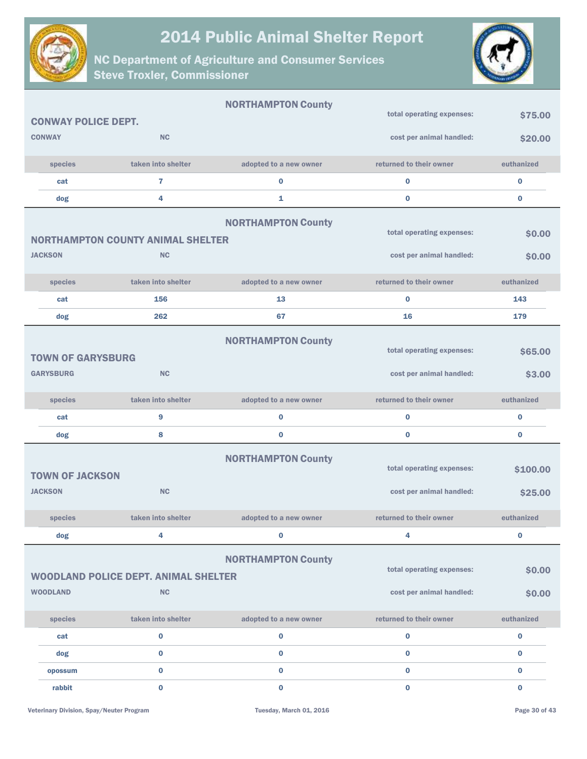



|                                          |                                                   | <b>NORTHAMPTON County</b> |                                                       |                  |
|------------------------------------------|---------------------------------------------------|---------------------------|-------------------------------------------------------|------------------|
| <b>CONWAY POLICE DEPT.</b>               |                                                   |                           | total operating expenses:                             | \$75.00          |
| <b>CONWAY</b>                            | <b>NC</b>                                         |                           | cost per animal handled:                              | \$20.00          |
| species                                  | taken into shelter                                | adopted to a new owner    | returned to their owner                               | euthanized       |
| cat                                      | $\overline{7}$                                    | $\bf{0}$                  | $\bf{0}$                                              | $\bf{0}$         |
| dog                                      | 4                                                 | 1                         | $\bf{0}$                                              | $\bf{0}$         |
|                                          | <b>NORTHAMPTON COUNTY ANIMAL SHELTER</b>          | <b>NORTHAMPTON County</b> | total operating expenses:                             | \$0.00           |
| <b>JACKSON</b>                           | <b>NC</b>                                         |                           | cost per animal handled:                              | \$0.00           |
| species                                  | taken into shelter                                | adopted to a new owner    | returned to their owner                               | euthanized       |
| cat                                      | 156                                               | 13                        | $\bf{0}$                                              | 143              |
| dog                                      | 262                                               | 67                        | 16                                                    | 179              |
| <b>TOWN OF GARYSBURG</b>                 |                                                   | <b>NORTHAMPTON County</b> | total operating expenses:                             | \$65.00          |
| <b>GARYSBURG</b>                         | <b>NC</b>                                         |                           | cost per animal handled:                              | \$3.00           |
| species                                  | taken into shelter                                | adopted to a new owner    | returned to their owner                               | euthanized       |
| cat                                      | 9                                                 | $\bf{0}$                  | $\bf{0}$                                              | 0                |
| dog                                      | 8                                                 | $\bf{0}$                  | $\bf{0}$                                              | 0                |
| <b>TOWN OF JACKSON</b><br><b>JACKSON</b> | <b>NC</b>                                         | <b>NORTHAMPTON County</b> | total operating expenses:<br>cost per animal handled: | \$100.00         |
|                                          |                                                   |                           |                                                       | \$25.00          |
| species                                  | taken into shelter                                | adopted to a new owner    | returned to their owner                               | euthanized       |
| dog                                      | 4                                                 | 0                         | 4                                                     | $\bf{0}$         |
| <b>WOODLAND</b>                          | <b>WOODLAND POLICE DEPT. ANIMAL SHELTER</b><br>NC | <b>NORTHAMPTON County</b> | total operating expenses:<br>cost per animal handled: | \$0.00<br>\$0.00 |
| species                                  | taken into shelter                                | adopted to a new owner    | returned to their owner                               | euthanized       |
| cat                                      | $\mathbf 0$                                       | $\mathbf 0$               | $\pmb{0}$                                             | $\mathbf 0$      |
| dog                                      | $\bf{0}$                                          | $\bf{0}$                  | $\bf{0}$                                              | $\bf{0}$         |
| opossum                                  | $\bf{0}$                                          | $\bf{0}$                  | $\bf{0}$                                              | $\bf{0}$         |
| rabbit                                   | $\bf{0}$                                          | $\bf{0}$                  | $\bf{0}$                                              | $\mathbf{0}$     |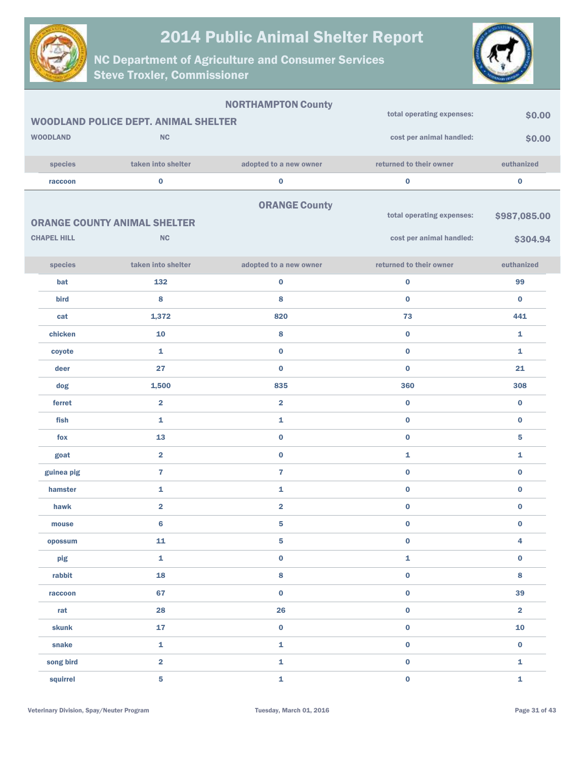



|                    |                                             | <b>NORTHAMPTON County</b> |                           |                         |
|--------------------|---------------------------------------------|---------------------------|---------------------------|-------------------------|
|                    | <b>WOODLAND POLICE DEPT. ANIMAL SHELTER</b> | total operating expenses: | \$0.00                    |                         |
| <b>WOODLAND</b>    | <b>NC</b>                                   |                           | cost per animal handled:  | \$0.00                  |
|                    |                                             |                           |                           |                         |
| species            | taken into shelter                          | adopted to a new owner    | returned to their owner   | euthanized              |
| raccoon            | $\bf{0}$                                    | $\pmb{0}$                 | $\bf{0}$                  | $\bf{0}$                |
|                    |                                             | <b>ORANGE County</b>      |                           |                         |
|                    | <b>ORANGE COUNTY ANIMAL SHELTER</b>         |                           | total operating expenses: | \$987,085.00            |
| <b>CHAPEL HILL</b> | NC                                          |                           | cost per animal handled:  | \$304.94                |
|                    |                                             |                           |                           |                         |
| species            | taken into shelter                          | adopted to a new owner    | returned to their owner   | euthanized              |
| bat                | 132                                         | $\pmb{0}$                 | $\pmb{0}$                 | 99                      |
| bird               | 8                                           | 8                         | $\bf{0}$                  | $\bf{0}$                |
| cat                | 1,372                                       | 820                       | 73                        | 441                     |
| chicken            | 10                                          | 8                         | $\bf{0}$                  | 1                       |
| coyote             | $\mathbf{1}$                                | $\pmb{0}$                 | $\bf{0}$                  | $\mathbf{1}$            |
| deer               | 27                                          | $\bf{0}$                  | $\bf{0}$                  | 21                      |
| dog                | 1,500                                       | 835                       | 360                       | 308                     |
| ferret             | $\overline{\mathbf{2}}$                     | $\overline{2}$            | $\bf{0}$                  | $\bf{0}$                |
| fish               | $\mathbf{1}$                                | 1                         | $\bf{0}$                  | $\bf{0}$                |
| fox                | 13                                          | $\pmb{0}$                 | $\bf{0}$                  | 5                       |
| goat               | $\overline{\mathbf{2}}$                     | $\pmb{0}$                 | 1                         | 1                       |
| guinea pig         | $\overline{7}$                              | $\overline{7}$            | $\bf{0}$                  | $\bf{0}$                |
| hamster            | $\mathbf{1}$                                | 1                         | $\pmb{0}$                 | $\bf{0}$                |
| hawk               | $\overline{\mathbf{2}}$                     | $\overline{\mathbf{2}}$   | $\bf{0}$                  | $\bf{0}$                |
| mouse              | $6\phantom{1}6$                             | $\sqrt{5}$                | $\bf{0}$                  | $\bf{0}$                |
| opossum            | 11                                          | ${\bf 5}$                 | $\pmb{0}$                 | 4                       |
| pig                | $\mathbf 1$                                 | $\pmb{0}$                 | $\mathbf 1$               | $\pmb{0}$               |
| rabbit             | 18                                          | 8                         | $\pmb{0}$                 | 8                       |
| raccoon            | 67                                          | $\pmb{0}$                 | $\pmb{0}$                 | 39                      |
| rat                | 28                                          | 26                        | $\pmb{0}$                 | $\overline{\mathbf{2}}$ |
| skunk              | 17                                          | $\pmb{0}$                 | $\pmb{0}$                 | 10                      |
| snake              | $\mathbf 1$                                 | $\bar{\mathbf{1}}$        | $\mathbf 0$               | $\mathbf 0$             |
| song bird          | $\overline{\mathbf{2}}$                     | $\mathbf 1$               | $\pmb{0}$                 | $\mathbf 1$             |
| squirrel           | $\overline{\mathbf{5}}$                     | $\mathbf 1$               | $\mathbf 0$               | $\mathbf{1}$            |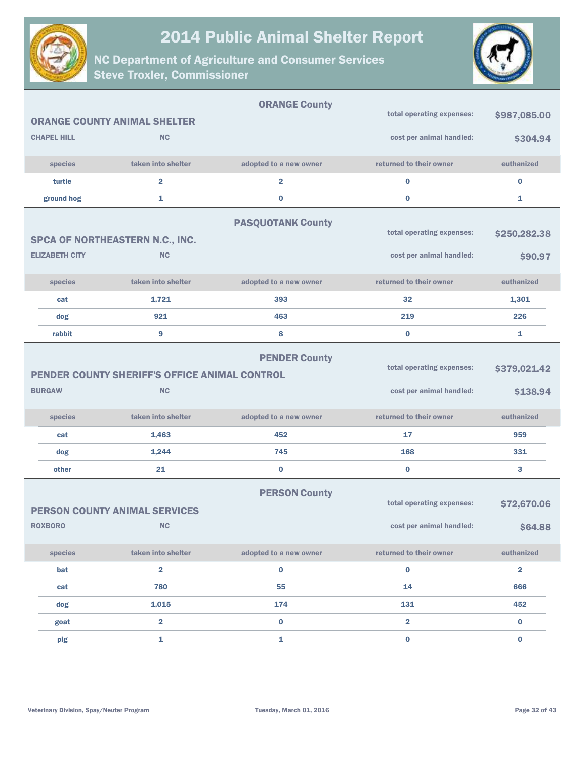



|                       |                                               | <b>ORANGE County</b>     |                           |                         |
|-----------------------|-----------------------------------------------|--------------------------|---------------------------|-------------------------|
|                       | <b>ORANGE COUNTY ANIMAL SHELTER</b>           |                          | total operating expenses: | \$987,085.00            |
| <b>CHAPEL HILL</b>    | <b>NC</b>                                     |                          | cost per animal handled:  | \$304.94                |
| species               | taken into shelter                            | adopted to a new owner   | returned to their owner   | euthanized              |
| turtle                | $\overline{2}$                                | $\overline{\mathbf{2}}$  | $\bf{0}$                  | $\bf{0}$                |
| ground hog            | 1                                             | 0                        | $\bf{0}$                  | 1                       |
|                       |                                               | <b>PASQUOTANK County</b> |                           |                         |
|                       | SPCA OF NORTHEASTERN N.C., INC.               |                          | total operating expenses: | \$250,282.38            |
| <b>ELIZABETH CITY</b> | <b>NC</b>                                     |                          | cost per animal handled:  | \$90.97                 |
|                       |                                               |                          |                           |                         |
| species               | taken into shelter                            | adopted to a new owner   | returned to their owner   | euthanized              |
| cat                   | 1,721                                         | 393                      | 32                        | 1,301                   |
| dog                   | 921                                           | 463                      | 219                       | 226                     |
| rabbit                | 9                                             | 8                        | $\bf{0}$                  | 1                       |
|                       |                                               | <b>PENDER County</b>     |                           |                         |
|                       | PENDER COUNTY SHERIFF'S OFFICE ANIMAL CONTROL |                          | total operating expenses: | \$379,021.42            |
| <b>BURGAW</b>         | <b>NC</b>                                     |                          | cost per animal handled:  | \$138.94                |
|                       |                                               |                          |                           |                         |
| species               | taken into shelter                            | adopted to a new owner   | returned to their owner   | euthanized              |
| cat                   | 1,463                                         | 452                      | 17                        | 959                     |
| dog                   | 1,244                                         | 745                      | 168                       | 331                     |
| other                 | 21                                            | 0                        | $\bf{0}$                  | 3                       |
|                       |                                               | <b>PERSON County</b>     |                           |                         |
|                       | <b>PERSON COUNTY ANIMAL SERVICES</b>          |                          | total operating expenses: | \$72,670.06             |
| <b>ROXBORO</b>        | <b>NC</b>                                     |                          | cost per animal handled:  | \$64.88                 |
|                       |                                               |                          |                           |                         |
| species               | taken into shelter                            | adopted to a new owner   | returned to their owner   | euthanized              |
| bat                   | $\overline{\mathbf{2}}$                       | $\bf{0}$                 | $\mathbf 0$               | $\overline{\mathbf{2}}$ |
| cat                   | 780                                           | 55                       | 14                        | 666                     |
| dog                   | 1,015                                         | 174                      | 131                       | 452                     |
| goat                  | $\overline{\mathbf{2}}$                       | $\pmb{0}$                | $\overline{\mathbf{2}}$   | $\bf{0}$                |
| pig                   | $\mathbf 1$                                   | 1                        | $\mathbf 0$               | $\pmb{0}$               |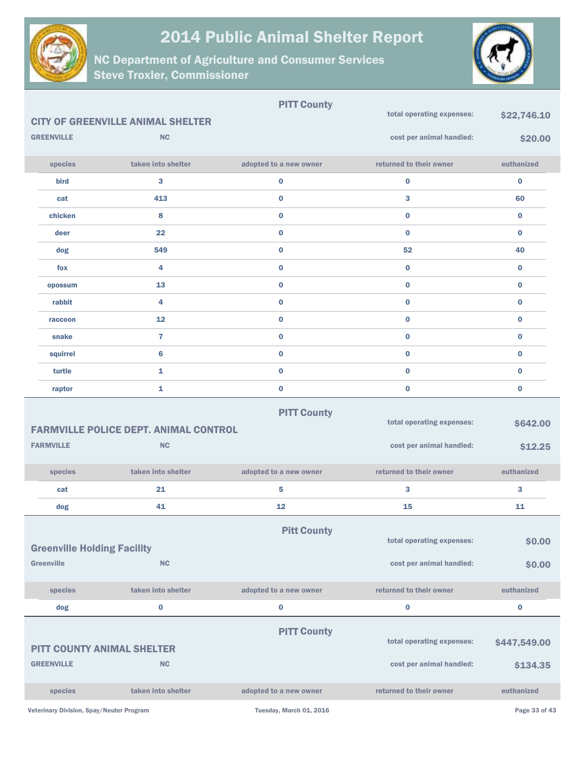



|                                                         |                                              | <b>PITT County</b>      |                           |               |
|---------------------------------------------------------|----------------------------------------------|-------------------------|---------------------------|---------------|
|                                                         | <b>CITY OF GREENVILLE ANIMAL SHELTER</b>     |                         | total operating expenses: | \$22,746.10   |
| <b>GREENVILLE</b>                                       | <b>NC</b>                                    |                         | cost per animal handled:  | \$20.00       |
| species                                                 | taken into shelter                           | adopted to a new owner  | returned to their owner   | euthanized    |
| bird                                                    | 3                                            | $\bf{0}$                | $\bf{0}$                  | $\bf{0}$      |
| cat                                                     | 413                                          | $\bf{0}$                | 3                         | 60            |
| chicken                                                 | 8                                            | $\bf{0}$                | $\bf{0}$                  | $\bf{0}$      |
| deer                                                    | 22                                           | $\bf{0}$                | $\bf{0}$                  | $\bf{0}$      |
| dog                                                     | 549                                          | $\bf{0}$                | 52                        | 40            |
| fox                                                     | 4                                            | $\bf{0}$                | $\bf{0}$                  | $\bf{0}$      |
| opossum                                                 | 13                                           | $\bf{0}$                | $\bf{0}$                  | $\bf{0}$      |
| rabbit                                                  | 4                                            | $\bf{0}$                | $\bf{0}$                  | 0             |
| raccoon                                                 | 12                                           | $\bf{0}$                | $\bf{0}$                  | 0             |
| snake                                                   | $\overline{7}$                               | $\bf{0}$                | $\bf{0}$                  | 0             |
| squirrel                                                | 6                                            | $\bf{0}$                | $\bf{0}$                  | 0             |
| turtle                                                  | $\mathbf{1}$                                 | $\bf{0}$                | $\bf{0}$                  | $\bf{0}$      |
| raptor                                                  | $\mathbf{1}$                                 | $\bf{0}$                | $\bf{0}$                  | $\bf{0}$      |
|                                                         | <b>FARMVILLE POLICE DEPT. ANIMAL CONTROL</b> | <b>PITT County</b>      | total operating expenses: | \$642.00      |
| <b>FARMVILLE</b>                                        | <b>NC</b>                                    |                         | cost per animal handled:  | \$12.25       |
| species                                                 | taken into shelter                           | adopted to a new owner  | returned to their owner   | euthanized    |
| cat                                                     | 21                                           | 5                       | 3                         | 3             |
| dog                                                     | 41                                           | 12                      | 15                        | 11            |
| <b>Greenville Holding Facility</b><br><b>Greenville</b> | NC                                           | <b>Pitt County</b>      | total operating expenses: | \$0.00        |
|                                                         |                                              |                         | cost per animal handled:  | \$0.00        |
| species                                                 | taken into shelter                           | adopted to a new owner  | returned to their owner   | euthanized    |
| dog                                                     | $\bf{0}$                                     | 0                       | $\bf{0}$                  | $\bf{0}$      |
|                                                         |                                              | <b>PITT County</b>      | total operating expenses: | \$447,549.00  |
| <b>PITT COUNTY ANIMAL SHELTER</b>                       |                                              |                         |                           |               |
| <b>GREENVILLE</b>                                       | <b>NC</b>                                    |                         | cost per animal handled:  | \$134.35      |
| species                                                 | taken into shelter                           | adopted to a new owner  | returned to their owner   | euthanized    |
| Veterinary Division, Spay/Neuter Program                |                                              | Tuesday, March 01, 2016 |                           | Page 33 of 43 |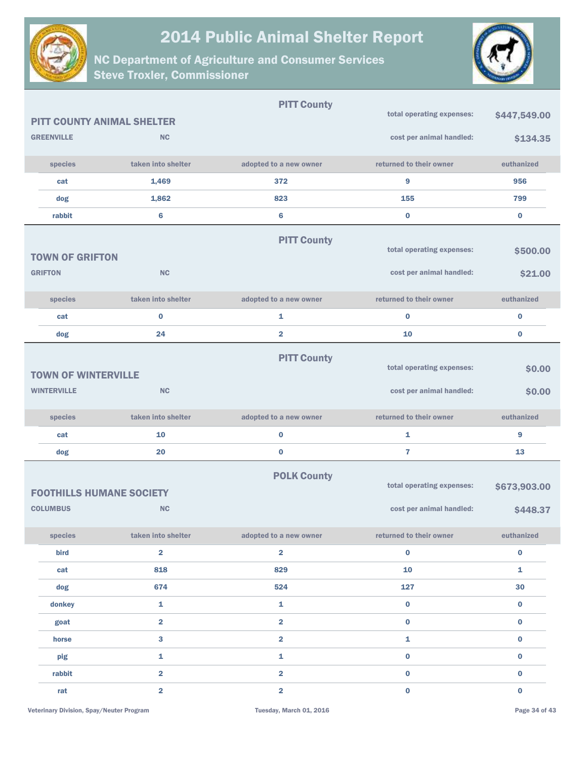



|                                 |                                   | <b>PITT County</b>      |                           |              |
|---------------------------------|-----------------------------------|-------------------------|---------------------------|--------------|
|                                 | <b>PITT COUNTY ANIMAL SHELTER</b> |                         | total operating expenses: | \$447,549.00 |
| <b>GREENVILLE</b>               | <b>NC</b>                         |                         | cost per animal handled:  | \$134.35     |
| species                         | taken into shelter                | adopted to a new owner  | returned to their owner   | euthanized   |
| cat                             | 1,469                             | 372                     | 9                         | 956          |
| dog                             | 1,862                             | 823                     | 155                       | 799          |
| rabbit                          | 6                                 | 6                       | $\bf{0}$                  | $\mathbf 0$  |
|                                 |                                   | <b>PITT County</b>      |                           |              |
| <b>TOWN OF GRIFTON</b>          |                                   |                         | total operating expenses: | \$500.00     |
| <b>GRIFTON</b>                  | <b>NC</b>                         |                         | cost per animal handled:  | \$21.00      |
| species                         | taken into shelter                | adopted to a new owner  | returned to their owner   | euthanized   |
| cat                             | $\bf{0}$                          | 1                       | $\bf{0}$                  | $\bf{0}$     |
| dog                             | 24                                | $\overline{\mathbf{2}}$ | 10                        | $\bf{0}$     |
|                                 |                                   | <b>PITT County</b>      |                           |              |
| <b>TOWN OF WINTERVILLE</b>      |                                   |                         | total operating expenses: | \$0.00       |
| <b>WINTERVILLE</b>              | <b>NC</b>                         |                         | cost per animal handled:  | \$0.00       |
| species                         | taken into shelter                | adopted to a new owner  | returned to their owner   | euthanized   |
| cat                             | 10                                | 0                       | 1                         | 9            |
| dog                             | 20                                | $\bf{0}$                | 7                         | 13           |
| <b>FOOTHILLS HUMANE SOCIETY</b> |                                   | <b>POLK County</b>      | total operating expenses: | \$673,903.00 |
| <b>COLUMBUS</b>                 | <b>NC</b>                         |                         | cost per animal handled:  | \$448.37     |
| species                         | taken into shelter                | adopted to a new owner  | returned to their owner   | euthanized   |
| bird                            | $\overline{\mathbf{2}}$           | $\overline{\mathbf{2}}$ | $\mathbf 0$               | $\bf{0}$     |
| cat                             | 818                               | 829                     | 10                        | $\mathbf 1$  |
| dog                             | 674                               | 524                     | 127                       | 30           |
| donkey                          | 1                                 | 1                       | $\pmb{0}$                 | $\mathbf 0$  |
| goat                            | $\overline{\mathbf{2}}$           | $\overline{\mathbf{2}}$ | $\pmb{0}$                 | $\bf{0}$     |
| horse                           | $\overline{\mathbf{3}}$           | $\overline{\mathbf{2}}$ | ${\bf 1}$                 | $\pmb{0}$    |
| pig                             | 1                                 | 1                       | $\pmb{0}$                 | $\bf{0}$     |
| rabbit                          | $\overline{2}$                    | $\overline{\mathbf{2}}$ | $\pmb{0}$                 | 0            |
| rat                             | $\overline{\mathbf{2}}$           | $\overline{\mathbf{2}}$ | $\mathbf 0$               | $\mathbf 0$  |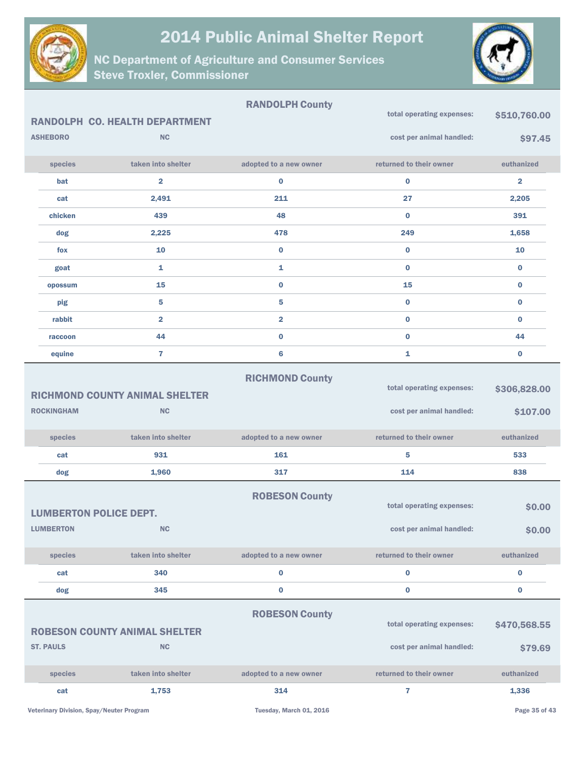



|                               |                                                    | <b>RANDOLPH County</b>  |                                                       |                          |
|-------------------------------|----------------------------------------------------|-------------------------|-------------------------------------------------------|--------------------------|
|                               | <b>RANDOLPH CO. HEALTH DEPARTMENT</b>              |                         | total operating expenses:                             | \$510,760.00             |
| <b>ASHEBORO</b>               | <b>NC</b>                                          |                         | cost per animal handled:                              | \$97.45                  |
| species                       | taken into shelter                                 | adopted to a new owner  | returned to their owner                               | euthanized               |
| bat                           | $\overline{\mathbf{2}}$                            | $\bf{0}$                | $\bf{0}$                                              | $\overline{\mathbf{2}}$  |
| cat                           | 2,491                                              | 211                     | 27                                                    | 2,205                    |
| chicken                       | 439                                                | 48                      | $\bf{0}$                                              | 391                      |
| dog                           | 2,225                                              | 478                     | 249                                                   | 1,658                    |
| fox                           | 10                                                 | 0                       | $\bf{0}$                                              | 10                       |
| goat                          | $\mathbf{1}$                                       | 1                       | $\bf{0}$                                              | $\bf{0}$                 |
| opossum                       | 15                                                 | $\bf{0}$                | 15                                                    | $\bf{0}$                 |
| pig                           | 5                                                  | 5                       | $\bf{0}$                                              | $\bf{0}$                 |
| rabbit                        | $\overline{\mathbf{2}}$                            | $\overline{\mathbf{2}}$ | $\bf{0}$                                              | $\bf{0}$                 |
| raccoon                       | 44                                                 | 0                       | $\bf{0}$                                              | 44                       |
| equine                        | 7                                                  | 6                       | 1                                                     | $\bf{0}$                 |
| <b>ROCKINGHAM</b>             | <b>RICHMOND COUNTY ANIMAL SHELTER</b><br><b>NC</b> | <b>RICHMOND County</b>  | total operating expenses:<br>cost per animal handled: | \$306,828.00<br>\$107.00 |
| species                       | taken into shelter                                 | adopted to a new owner  | returned to their owner                               | euthanized               |
| cat                           | 931                                                | 161                     | 5                                                     | 533                      |
| dog                           | 1,960                                              | 317                     | 114                                                   | 838                      |
|                               |                                                    |                         |                                                       |                          |
| <b>LUMBERTON POLICE DEPT.</b> |                                                    | <b>ROBESON County</b>   | total operating expenses:                             | \$0.00                   |
| <b>LUMBERTON</b>              | <b>NC</b>                                          |                         | cost per animal handled:                              | \$0.00                   |
| species                       | taken into shelter                                 | adopted to a new owner  | returned to their owner                               | euthanized               |
| cat                           | 340                                                | 0                       | $\bf{0}$                                              | $\bf{0}$                 |
| dog                           | 345                                                | 0                       | $\pmb{0}$                                             | $\pmb{0}$                |
| <b>ST. PAULS</b>              | <b>ROBESON COUNTY ANIMAL SHELTER</b><br><b>NC</b>  | <b>ROBESON County</b>   | total operating expenses:<br>cost per animal handled: | \$470,568.55<br>\$79.69  |
| species                       | taken into shelter                                 | adopted to a new owner  | returned to their owner                               | euthanized               |
|                               |                                                    |                         |                                                       |                          |
| cat                           | 1,753                                              | 314                     | 7                                                     | 1,336                    |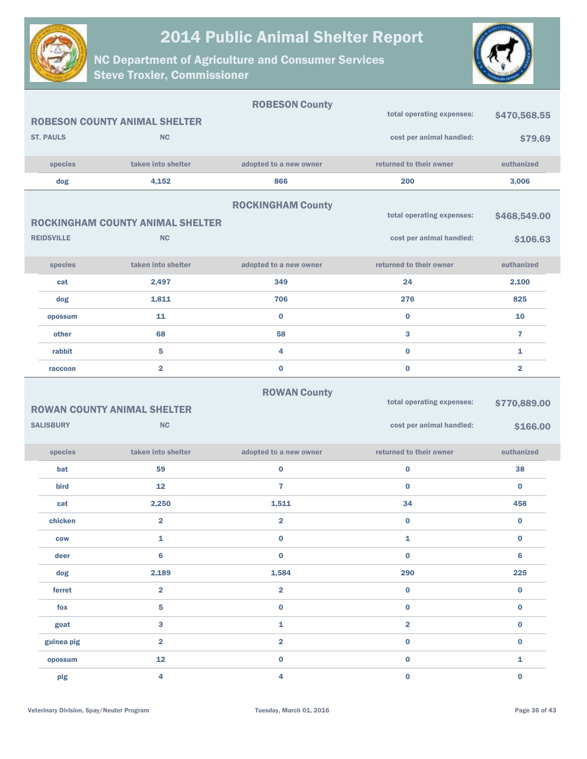



|                   |                                                 | <b>ROBESON County</b>    |                                                       |                          |
|-------------------|-------------------------------------------------|--------------------------|-------------------------------------------------------|--------------------------|
|                   | <b>ROBESON COUNTY ANIMAL SHELTER</b>            |                          | total operating expenses:                             | \$470,568.55             |
| <b>ST. PAULS</b>  | <b>NC</b>                                       |                          | cost per animal handled:                              | \$79.69                  |
| species           | taken into shelter                              | adopted to a new owner   | returned to their owner                               | euthanized               |
| dog               | 4,152                                           | 866                      | 200                                                   | 3,006                    |
|                   |                                                 | <b>ROCKINGHAM County</b> | total operating expenses:                             |                          |
|                   | <b>ROCKINGHAM COUNTY ANIMAL SHELTER</b>         |                          |                                                       | \$468,549.00             |
| <b>REIDSVILLE</b> | <b>NC</b>                                       |                          | cost per animal handled:                              | \$106.63                 |
| species           | taken into shelter                              | adopted to a new owner   | returned to their owner                               | euthanized               |
| cat               | 2,497                                           | 349                      | 24                                                    | 2,100                    |
| dog               | 1,811                                           | 706                      | 276                                                   | 825                      |
| opossum           | 11                                              | $\mathbf 0$              | $\bf{0}$                                              | 10                       |
| other             | 68                                              | 58                       | 3                                                     | $\overline{7}$           |
| rabbit            | $5\phantom{1}$                                  | 4                        | $\bf{0}$                                              | $\mathbf{1}$             |
| raccoon           | $\overline{2}$                                  | $\bf{0}$                 | $\bf{0}$                                              | $\overline{\mathbf{2}}$  |
| <b>SALISBURY</b>  | <b>ROWAN COUNTY ANIMAL SHELTER</b><br><b>NC</b> | <b>ROWAN County</b>      | total operating expenses:<br>cost per animal handled: | \$770,889.00<br>\$166.00 |
| species           | taken into shelter                              | adopted to a new owner   | returned to their owner                               | euthanized               |
| bat               | 59                                              | 0                        | $\bf{0}$                                              | 38                       |
| bird              | 12                                              | $\overline{7}$           | $\bf{0}$                                              | $\bf{0}$                 |
| cat               | 2,250                                           | 1,511                    | 34                                                    | 458                      |
| chicken           | $\overline{\mathbf{2}}$                         | $\overline{\mathbf{2}}$  | $\bf{0}$                                              | $\bf{0}$                 |
| <b>COW</b>        | 1                                               | 0                        | 1                                                     | $\bf{0}$                 |
| deer              | $6\phantom{1}$                                  | 0                        | $\pmb{0}$                                             | $6\phantom{1}$           |
| dog               | 2,189                                           | 1,584                    | 290                                                   | 225                      |
| ferret            | $\overline{\mathbf{2}}$                         | $\overline{\mathbf{2}}$  | $\mathbf 0$                                           | $\mathbf 0$              |
| fox               | 5                                               | $\bf{0}$                 | $\mathbf 0$                                           | $\mathbf 0$              |
| goat              | 3                                               | 1                        | $\overline{\mathbf{2}}$                               | $\mathbf 0$              |
| guinea pig        | $\overline{\mathbf{2}}$                         | $\overline{\mathbf{2}}$  | $\mathbf 0$                                           | $\bf{0}$                 |
| opossum           | 12                                              | 0                        | $\mathbf 0$                                           | 1                        |
| pig               | 4                                               | 4                        | $\mathbf 0$                                           | $\bf{0}$                 |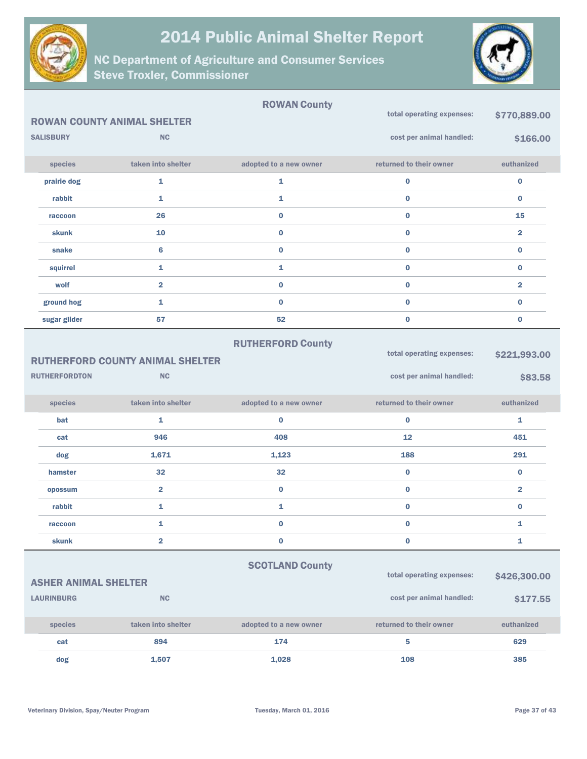



|                             | <b>ROWAN COUNTY ANIMAL SHELTER</b>                   | <b>ROWAN County</b>    | total operating expenses:                             | \$770,889.00            |
|-----------------------------|------------------------------------------------------|------------------------|-------------------------------------------------------|-------------------------|
| <b>SALISBURY</b>            | <b>NC</b>                                            |                        | cost per animal handled:                              | \$166.00                |
| species                     | taken into shelter                                   | adopted to a new owner | returned to their owner                               | euthanized              |
| prairie dog                 | 1                                                    | 1                      | $\pmb{0}$                                             | $\pmb{0}$               |
| rabbit                      | 1                                                    | 1                      | $\bf{0}$                                              | $\bf{0}$                |
| raccoon                     | 26                                                   | $\bf{0}$               | $\bf{0}$                                              | 15                      |
| skunk                       | 10                                                   | $\bf{0}$               | $\bf{0}$                                              | $\overline{\mathbf{2}}$ |
| snake                       | $6\phantom{1}6$                                      | $\bf{0}$               | $\bf{0}$                                              | $\bf{0}$                |
| squirrel                    | 1                                                    | 1                      | $\bf{0}$                                              | $\bf{0}$                |
| wolf                        | $\overline{\mathbf{2}}$                              | $\bf{0}$               | $\bf{0}$                                              | $\overline{\mathbf{2}}$ |
| ground hog                  | 1                                                    | $\bf{0}$               | $\bf{0}$                                              | $\bf{0}$                |
| sugar glider                | 57                                                   | 52                     | $\bf{0}$                                              | $\bf{0}$                |
| <b>RUTHERFORDTON</b>        | <b>RUTHERFORD COUNTY ANIMAL SHELTER</b><br><b>NC</b> |                        | total operating expenses:<br>cost per animal handled: | \$221,993.00<br>\$83.58 |
| species                     | taken into shelter                                   | adopted to a new owner | returned to their owner                               | euthanized              |
| bat                         | 1                                                    | $\bf{0}$               | $\bf{0}$                                              | 1                       |
| cat                         | 946                                                  | 408                    | 12                                                    | 451                     |
| dog                         | 1,671                                                | 1,123                  | 188                                                   | 291                     |
| hamster                     | 32                                                   | 32                     | $\bf{0}$                                              | $\bf{0}$                |
| opossum                     | $\overline{2}$                                       | $\bf{0}$               | $\bf{0}$                                              | $\overline{\mathbf{2}}$ |
| rabbit                      | 1                                                    | 1                      | $\bf{0}$                                              | $\bf{0}$                |
| raccoon                     | 1                                                    | $\bf{0}$               | $\bf{0}$                                              | 1                       |
| <b>skunk</b>                | $\overline{\mathbf{2}}$                              | $\pmb{0}$              | $\pmb{0}$                                             | 1                       |
| <b>ASHER ANIMAL SHELTER</b> |                                                      | <b>SCOTLAND County</b> | total operating expenses:                             | \$426,300.00            |
| <b>LAURINBURG</b>           | ${\sf NC}$                                           |                        | cost per animal handled:                              | \$177.55                |
| species                     | taken into shelter                                   | adopted to a new owner | returned to their owner                               | euthanized              |
| cat                         | 894                                                  | 174                    | 5                                                     | 629                     |
|                             |                                                      |                        |                                                       |                         |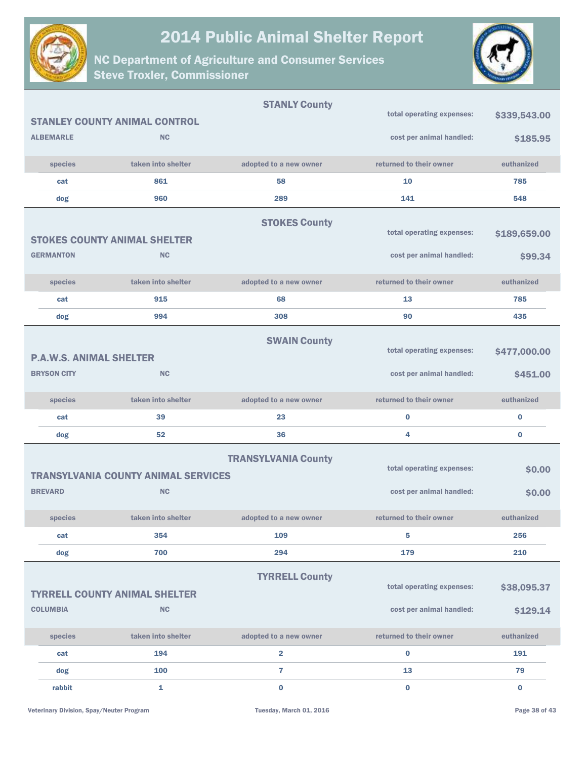



|                                |                                                   | <b>STANLY County</b>       |                                                       |                         |
|--------------------------------|---------------------------------------------------|----------------------------|-------------------------------------------------------|-------------------------|
|                                | <b>STANLEY COUNTY ANIMAL CONTROL</b>              |                            | total operating expenses:                             | \$339,543.00            |
| <b>ALBEMARLE</b>               | <b>NC</b>                                         |                            | cost per animal handled:                              | \$185.95                |
| species                        | taken into shelter                                | adopted to a new owner     | returned to their owner                               | euthanized              |
| cat                            | 861                                               | 58                         | 10                                                    | 785                     |
| dog                            | 960                                               | 289                        | 141                                                   | 548                     |
|                                | <b>STOKES COUNTY ANIMAL SHELTER</b>               | <b>STOKES County</b>       | total operating expenses:                             | \$189,659.00            |
| <b>GERMANTON</b>               | <b>NC</b>                                         |                            | cost per animal handled:                              | \$99.34                 |
| species                        | taken into shelter                                | adopted to a new owner     | returned to their owner                               | euthanized              |
| cat                            | 915                                               | 68                         | 13                                                    | 785                     |
| dog                            | 994                                               | 308                        | 90                                                    | 435                     |
| <b>P.A.W.S. ANIMAL SHELTER</b> |                                                   | <b>SWAIN County</b>        | total operating expenses:                             | \$477,000.00            |
| <b>BRYSON CITY</b>             | <b>NC</b>                                         |                            | cost per animal handled:                              | \$451.00                |
| species                        | taken into shelter                                | adopted to a new owner     | returned to their owner                               | euthanized              |
| cat                            | 39                                                | 23                         | $\bf{0}$                                              | 0                       |
| dog                            | 52                                                | 36                         | 4                                                     | 0                       |
|                                | <b>TRANSYLVANIA COUNTY ANIMAL SERVICES</b>        | <b>TRANSYLVANIA County</b> | total operating expenses:                             | \$0.00                  |
| <b>BREVARD</b>                 | <b>NC</b>                                         |                            | cost per animal handled:                              | \$0.00                  |
| species                        | taken into shelter                                | adopted to a new owner     | returned to their owner                               | euthanized              |
| cat                            | 354                                               | 109                        | 5                                                     | 256                     |
| dog                            | 700                                               | 294                        | 179                                                   | 210                     |
| <b>COLUMBIA</b>                | <b>TYRRELL COUNTY ANIMAL SHELTER</b><br><b>NC</b> | <b>TYRRELL County</b>      | total operating expenses:<br>cost per animal handled: | \$38,095.37<br>\$129.14 |
| species                        | taken into shelter                                | adopted to a new owner     | returned to their owner                               | euthanized              |
| cat                            | 194                                               | $\overline{\mathbf{2}}$    | $\bf{0}$                                              | 191                     |
| dog                            | 100                                               | $\overline{7}$             | 13                                                    | 79                      |
| rabbit                         | 1                                                 | $\bf{0}$                   | $\bf{0}$                                              | $\bf{0}$                |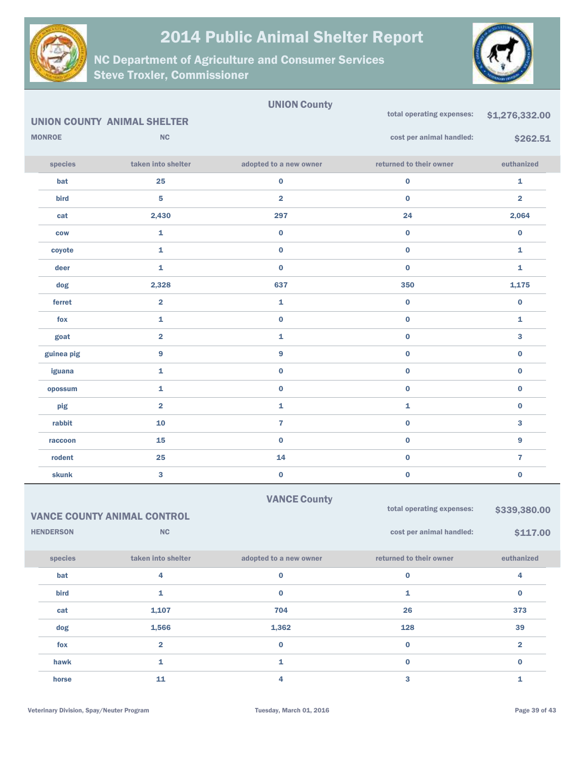



|               |                                    | <b>UNION County</b>     |                           |                         |
|---------------|------------------------------------|-------------------------|---------------------------|-------------------------|
|               | <b>UNION COUNTY ANIMAL SHELTER</b> |                         | total operating expenses: | \$1,276,332.00          |
| <b>MONROE</b> | NC                                 |                         | cost per animal handled:  | \$262.51                |
| species       | taken into shelter                 | adopted to a new owner  | returned to their owner   | euthanized              |
| bat           | 25                                 | $\mathbf 0$             | $\pmb{0}$                 | $\mathbf 1$             |
| bird          | 5                                  | $\overline{\mathbf{2}}$ | $\bf{0}$                  | $\overline{\mathbf{2}}$ |
| cat           | 2,430                              | 297                     | 24                        | 2,064                   |
| <b>COW</b>    | 1                                  | $\pmb{0}$               | $\pmb{0}$                 | $\bf{0}$                |
| coyote        | 1                                  | $\pmb{0}$               | $\pmb{0}$                 | 1                       |
| deer          | $\mathbf{1}$                       | $\bf{0}$                | $\bf{0}$                  | $\mathbf{1}$            |
| dog           | 2,328                              | 637                     | 350                       | 1,175                   |
| ferret        | $\overline{\mathbf{2}}$            | $\mathbf 1$             | $\pmb{0}$                 | $\mathbf 0$             |
| fox           | 1                                  | $\pmb{0}$               | $\pmb{0}$                 | 1                       |
| goat          | $\overline{\mathbf{2}}$            | $\mathbf 1$             | $\bf{0}$                  | 3                       |
| guinea pig    | 9                                  | $\boldsymbol{9}$        | $\pmb{0}$                 | $\bf{0}$                |
| iguana        | 1                                  | $\pmb{0}$               | $\pmb{0}$                 | $\bf{0}$                |
| opossum       | $\mathbf 1$                        | $\pmb{0}$               | $\pmb{0}$                 | $\mathbf 0$             |
| pig           | $\overline{\mathbf{2}}$            | ${\bf 1}$               | $\mathbf 1$               | $\pmb{0}$               |
| rabbit        | ${\bf 10}$                         | $\overline{\mathbf{r}}$ | $\bf{0}$                  | 3                       |
| raccoon       | 15                                 | $\bf{0}$                | $\bf{0}$                  | 9                       |
| rodent        | 25                                 | 14                      | $\pmb{0}$                 | $\overline{7}$          |
| <b>skunk</b>  | 3                                  | $\bf{0}$                | $\bf{0}$                  | $\bf{0}$                |

|                        | <b>VANCE COUNTY ANIMAL CONTROL</b> | <b>VANCE County</b>    | total operating expenses: | \$339,380.00   |  |
|------------------------|------------------------------------|------------------------|---------------------------|----------------|--|
| NC<br><b>HENDERSON</b> |                                    |                        | cost per animal handled:  | \$117.00       |  |
| species                | taken into shelter                 | adopted to a new owner | returned to their owner   | euthanized     |  |
| bat                    | 4                                  | 0                      | $\bf{0}$                  | 4              |  |
| <b>bird</b>            | 1                                  | $\bf{0}$               | 1                         | $\bf{0}$       |  |
| cat                    | 1,107                              | 704                    | 26                        | 373            |  |
| dog                    | 1,566                              | 1,362                  | 128                       | 39             |  |
| fox                    | $\overline{2}$                     | $\bf{0}$               | $\bf{0}$                  | $\overline{2}$ |  |
| hawk                   | 1                                  | 1                      | $\bf{0}$                  | $\bf{0}$       |  |
| horse                  | 11                                 | 4                      | 3                         |                |  |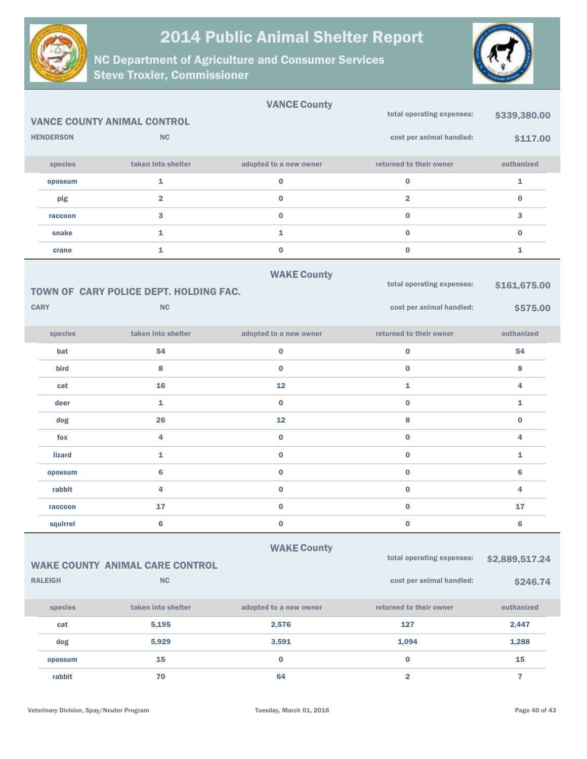



|                  |                                        | <b>VANCE County</b>    |                           |                         |
|------------------|----------------------------------------|------------------------|---------------------------|-------------------------|
|                  | <b>VANCE COUNTY ANIMAL CONTROL</b>     |                        | total operating expenses: | \$339,380.00            |
| <b>HENDERSON</b> | <b>NC</b>                              |                        | cost per animal handled:  | \$117.00                |
| species          | taken into shelter                     | adopted to a new owner | returned to their owner   | euthanized              |
| opossum          | $\mathbf{1}$                           | $\bf{0}$               | $\bf{0}$                  | $\mathbf{1}$            |
| pig              | $\overline{\mathbf{2}}$                | $\bf{0}$               | $\overline{\mathbf{2}}$   | $\bf{0}$                |
| raccoon          | $\mathbf{3}$                           | $\bf{0}$               | $\mathbf 0$               | 3                       |
| snake            | $\mathbf{1}$                           | 1                      | $\bf{0}$                  | $\bf{0}$                |
| crane            | $\mathbf{1}$                           | $\pmb{0}$              | $\bf{0}$                  | 1                       |
|                  |                                        | <b>WAKE County</b>     | total operating expenses: | \$161,675.00            |
|                  | TOWN OF CARY POLICE DEPT. HOLDING FAC. |                        |                           |                         |
| <b>CARY</b>      | <b>NC</b>                              |                        | cost per animal handled:  | \$575.00                |
| species          | taken into shelter                     | adopted to a new owner | returned to their owner   | euthanized              |
| bat              | 54                                     | $\bf{0}$               | $\bf{0}$                  | 54                      |
| bird             | 8                                      | $\bf{0}$               | $\bf{0}$                  | 8                       |
| cat              | 16                                     | 12                     | $\mathbf{1}$              | 4                       |
| deer             | $\mathbf{1}$                           | $\bf{0}$               | $\bf{0}$                  | 1                       |
| dog              | 26                                     | 12                     | 8                         | $\bf{0}$                |
| fox              | 4                                      | $\bf{0}$               | $\bf{0}$                  | 4                       |
| <b>lizard</b>    | $\mathbf{1}$                           | $\bf{0}$               | $\bf{0}$                  | $\mathbf{1}$            |
| opossum          | 6                                      | $\bf{0}$               | $\bf{0}$                  | 6                       |
| rabbit           | 4                                      | $\bf{0}$               | $\bf{0}$                  | 4                       |
| raccoon          | 17                                     | $\bf{0}$               | $\bf{0}$                  | 17                      |
| squirrel         | 6                                      | 0                      | $\bf{0}$                  | 6                       |
|                  |                                        | <b>WAKE County</b>     |                           |                         |
|                  | <b>WAKE COUNTY ANIMAL CARE CONTROL</b> |                        | total operating expenses: | \$2,889,517.24          |
| <b>RALEIGH</b>   | $\mathsf{NC}$                          |                        | cost per animal handled:  | \$246.74                |
| species          | taken into shelter                     | adopted to a new owner | returned to their owner   | euthanized              |
| cat              | 5,195                                  | 2,576                  | 127                       | 2,447                   |
| dog              | 5,929                                  | 3,591                  | 1,094                     | 1,288                   |
| opossum          | 15                                     | $\bf{0}$               | $\bf{0}$                  | 15                      |
| rabbit           | 70                                     | 64                     | $\overline{\mathbf{2}}$   | $\overline{\mathbf{r}}$ |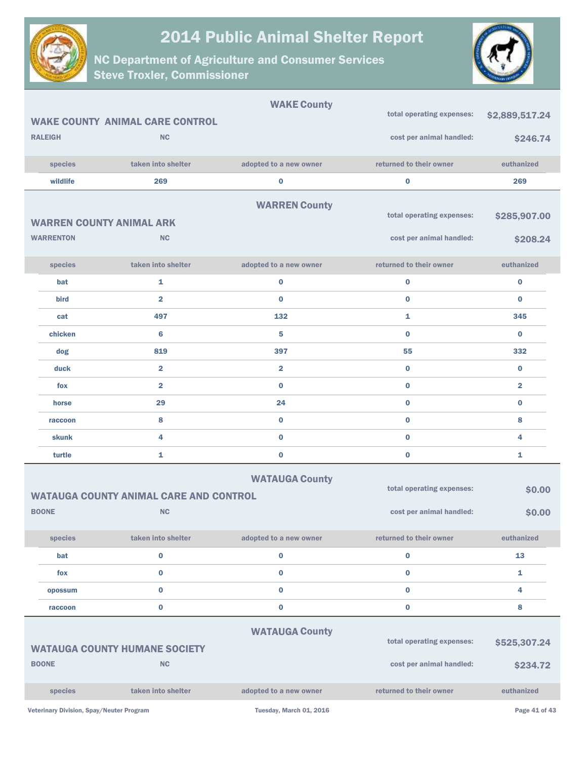



|                                          |                                                   | <b>WAKE County</b>      |                           |                         |
|------------------------------------------|---------------------------------------------------|-------------------------|---------------------------|-------------------------|
|                                          | <b>WAKE COUNTY ANIMAL CARE CONTROL</b>            |                         | total operating expenses: | \$2,889,517.24          |
| <b>RALEIGH</b>                           | <b>NC</b>                                         |                         | cost per animal handled:  | \$246.74                |
| species                                  | taken into shelter                                | adopted to a new owner  | returned to their owner   | euthanized              |
| wildlife                                 | 269                                               | 0                       | $\mathbf 0$               | 269                     |
|                                          |                                                   | <b>WARREN County</b>    |                           |                         |
| <b>WARREN COUNTY ANIMAL ARK</b>          |                                                   |                         | total operating expenses: | \$285,907.00            |
| <b>WARRENTON</b>                         | <b>NC</b>                                         |                         | cost per animal handled:  | \$208.24                |
|                                          |                                                   |                         |                           |                         |
| species                                  | taken into shelter                                | adopted to a new owner  | returned to their owner   | euthanized              |
| bat                                      | 1                                                 | 0                       | $\bf{0}$                  | $\bf{0}$                |
| bird                                     | $\overline{2}$                                    | $\bf{0}$                | $\bf{0}$                  | $\bf{0}$                |
| cat                                      | 497                                               | 132                     | 1                         | 345                     |
| chicken                                  | 6                                                 | 5                       | $\bf{0}$                  | $\bf{0}$                |
| dog                                      | 819                                               | 397                     | 55                        | 332                     |
| duck                                     | $\overline{\mathbf{2}}$                           | $\overline{\mathbf{2}}$ | $\bf{0}$                  | $\bf{0}$                |
| fox                                      | $\overline{2}$                                    | $\bf{0}$                | $\bf{0}$                  | $\overline{\mathbf{2}}$ |
| horse                                    | 29                                                | 24                      | $\bf{0}$                  | $\bf{0}$                |
| raccoon                                  | 8                                                 | $\bf{0}$                | $\bf{0}$                  | 8                       |
| skunk                                    | 4                                                 | $\bf{0}$                | $\bf{0}$                  | 4                       |
| turtle                                   | 1                                                 | $\bf{0}$                | $\bf{0}$                  | 1                       |
|                                          |                                                   | <b>WATAUGA County</b>   |                           |                         |
|                                          | <b>WATAUGA COUNTY ANIMAL CARE AND CONTROL</b>     |                         | total operating expenses: | \$0.00                  |
| <b>BOONE</b>                             | <b>NC</b>                                         |                         | cost per animal handled:  | \$0.00                  |
| species                                  | taken into shelter                                | adopted to a new owner  | returned to their owner   | euthanized              |
| bat                                      | $\mathbf 0$                                       | 0                       | $\mathbf 0$               | 13                      |
| fox                                      | $\bf{0}$                                          | $\bf{0}$                | $\bf{0}$                  | $\mathbf{1}$            |
| opossum                                  | $\mathbf 0$                                       | 0                       | $\bf{0}$                  | 4                       |
| raccoon                                  | $\bf{0}$                                          | $\bf{0}$                | $\bf{0}$                  | 8                       |
|                                          |                                                   |                         |                           |                         |
|                                          |                                                   | <b>WATAUGA County</b>   | total operating expenses: | \$525,307.24            |
| <b>BOONE</b>                             | <b>WATAUGA COUNTY HUMANE SOCIETY</b><br><b>NC</b> |                         | cost per animal handled:  | \$234.72                |
|                                          |                                                   |                         |                           |                         |
| species                                  | taken into shelter                                | adopted to a new owner  | returned to their owner   | euthanized              |
| Veterinary Division, Spay/Neuter Program |                                                   | Tuesday, March 01, 2016 |                           | Page 41 of 43           |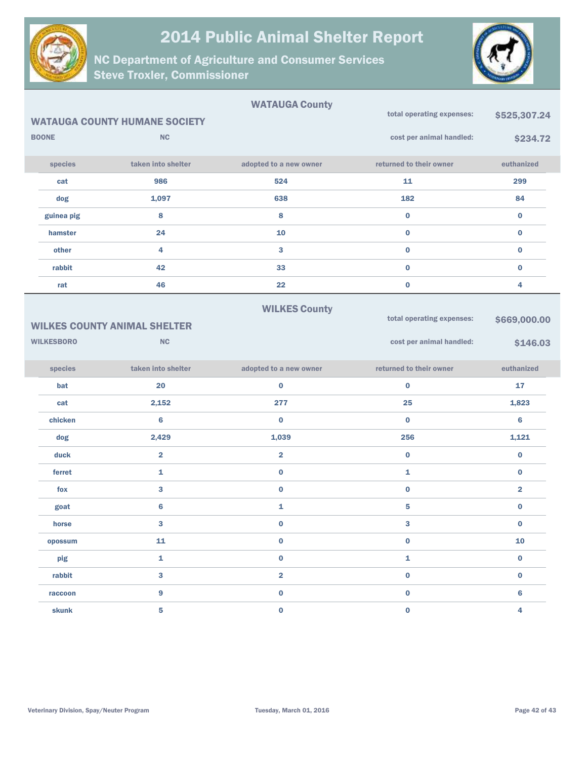



|                   |                                      | <b>WATAUGA County</b>   |                           |                |
|-------------------|--------------------------------------|-------------------------|---------------------------|----------------|
|                   | <b>WATAUGA COUNTY HUMANE SOCIETY</b> |                         | total operating expenses: | \$525,307.24   |
| <b>BOONE</b>      | <b>NC</b>                            |                         | cost per animal handled:  | \$234.72       |
| species           | taken into shelter                   | adopted to a new owner  | returned to their owner   | euthanized     |
| cat               | 986                                  | 524                     | 11                        | 299            |
| dog               | 1,097                                | 638                     | 182                       | 84             |
| guinea pig        | 8                                    | 8                       | $\mathbf 0$               | $\bf{0}$       |
| hamster           | 24                                   | 10                      | $\bf{0}$                  | $\bf{0}$       |
| other             | 4                                    | 3                       | $\bf{0}$                  | $\bf{0}$       |
| rabbit            | 42                                   | 33                      | $\bf{0}$                  | $\bf{0}$       |
| rat               | 46                                   | 22                      | $\mathbf 0$               | 4              |
|                   |                                      | <b>WILKES County</b>    |                           |                |
|                   | <b>WILKES COUNTY ANIMAL SHELTER</b>  |                         | total operating expenses: | \$669,000.00   |
| <b>WILKESBORO</b> | <b>NC</b>                            |                         | cost per animal handled:  | \$146.03       |
|                   |                                      |                         |                           |                |
| species           | taken into shelter                   | adopted to a new owner  | returned to their owner   | euthanized     |
| bat               | 20                                   | $\bf{0}$                | $\bf{0}$                  | 17             |
| cat               | 2,152                                | 277                     | 25                        | 1,823          |
| chicken           | 6                                    | $\bf{0}$                | $\bf{0}$                  | $6\phantom{1}$ |
| dog               | 2,429                                | 1,039                   | 256                       | 1,121          |
| duck              | $\overline{2}$                       | $\overline{2}$          | $\bf{0}$                  | $\bf{0}$       |
| ferret            | 1                                    | $\bf{0}$                | 1                         | $\bf{0}$       |
| fox               | 3                                    | $\bf{0}$                | $\bf{0}$                  | $\overline{2}$ |
| goat              | 6                                    | 1                       | 5                         | $\bf{0}$       |
| horse             | 3                                    | $\bf{0}$                | 3                         | $\bf{0}$       |
| opossum           | 11                                   | $\pmb{0}$               | $\pmb{0}$                 | 10             |
| pig               | 1                                    | $\pmb{0}$               | ${\bf 1}$                 | $\mathbf 0$    |
| rabbit            | 3                                    | $\overline{\mathbf{2}}$ | $\mathbf 0$               | $\mathbf 0$    |
| raccoon           | 9                                    | $\pmb{0}$               | $\mathbf 0$               | $\bf 6$        |